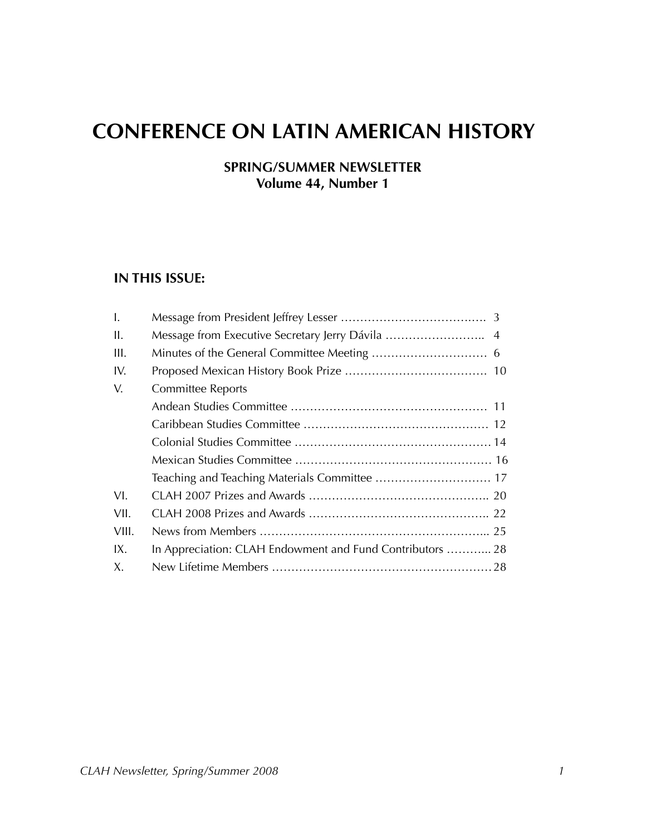# **CONFERENCE ON LATIN AMERICAN HISTORY**

### **SPRING/SUMMER NEWSLETTER Volume 44, Number 1**

#### **IN THIS ISSUE:**

| $\mathbf{I}$ . |                                                           |  |
|----------------|-----------------------------------------------------------|--|
| II.            | Message from Executive Secretary Jerry Dávila  4          |  |
| III.           |                                                           |  |
| IV.            |                                                           |  |
| V.             | <b>Committee Reports</b>                                  |  |
|                |                                                           |  |
|                |                                                           |  |
|                |                                                           |  |
|                |                                                           |  |
|                |                                                           |  |
| VI.            |                                                           |  |
| VII.           |                                                           |  |
| VIII.          |                                                           |  |
| IX.            | In Appreciation: CLAH Endowment and Fund Contributors  28 |  |
| Χ.             |                                                           |  |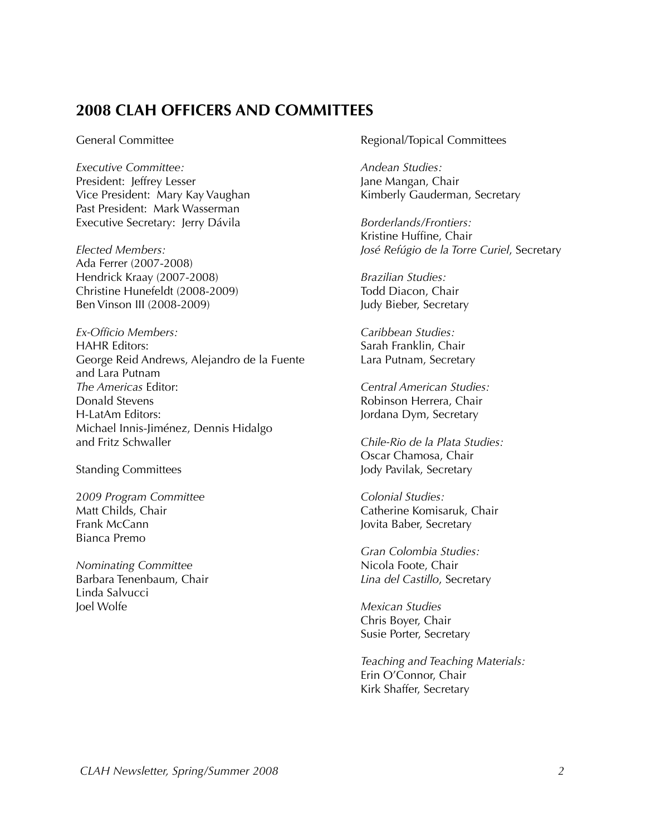### **2008 CLAH OFFICERS AND COMMITTEES**

*Executive Committee: Andean Studies:* President: Jeffrey Lesser Jane Mangan, Chair Vice President: Mary Kay Vaughan Kimberly Gauderman, Secretary Past President: Mark Wasserman Executive Secretary: Jerry Dávila *Borderlands/Frontiers:*

Ada Ferrer (2007-2008) Hendrick Kraay (2007-2008) *Brazilian Studies:* Christine Hunefeldt (2008-2009) Todd Diacon, Chair Ben Vinson III (2008-2009) Judy Bieber, Secretary

*Ex-Officio Members: Caribbean Studies:* HAHR Editors: Sarah Franklin, Chair George Reid Andrews, Alejandro de la Fuente Lara Putnam, Secretary and Lara Putnam *The Americas* Editor: *Central American Studies:*  Donald Stevens **Robinson Herrera**, Chair H-LatAm Editors: Jordana Dym, Secretary Michael Innis-Jiménez, Dennis Hidalgo

2*009 Program Committee Colonial Studies:* Frank McCann **Jovita Baber, Secretary** Bianca Premo

*Nominating Committee* Nicola Foote, Chair Barbara Tenenbaum, Chair *Lina del Castillo*, Secretary Linda Salvucci Joel Wolfe *Mexican Studies*

General Committee **Committee Committee** Regional/Topical Committees

Kristine Huffine, Chair *Elected Members: José Refúgio de la Torre Curiel*, Secretary

Chile-Rio de la Plata Studies: Oscar Chamosa, Chair Standing Committees and a standing Committees and a standing Committees and a standing of the standing of the standing of the standing of the standing of the standing of the standing of the standing of the standing of the

Matt Childs, Chair **Catherine Komisaruk, Chair** Catherine Komisaruk, Chair

*Gran Colombia Studies:*

Chris Boyer, Chair Susie Porter, Secretary

*Teaching and Teaching Materials:* Erin O'Connor, Chair Kirk Shaffer, Secretary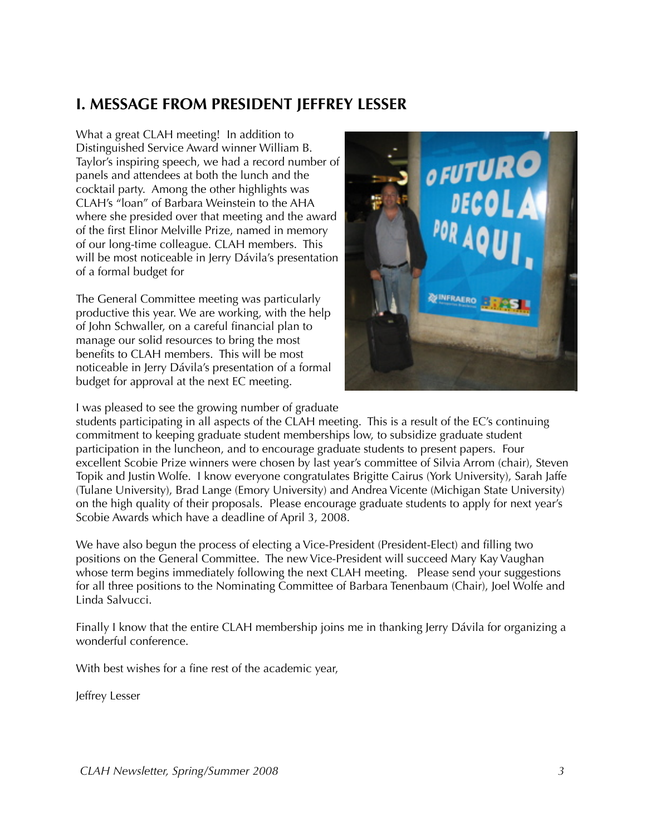### **I. MESSAGE FROM PRESIDENT JEFFREY LESSER**

What a great CLAH meeting! In addition to Distinguished Service Award winner William B. Taylor's inspiring speech, we had a record number of panels and attendees at both the lunch and the cocktail party. Among the other highlights was CLAH's "loan" of Barbara Weinstein to the AHA where she presided over that meeting and the award of the first Elinor Melville Prize, named in memory of our long-time colleague. CLAH members. This will be most noticeable in Jerry Dávila's presentation of a formal budget for

The General Committee meeting was particularly productive this year. We are working, with the help of John Schwaller, on a careful financial plan to manage our solid resources to bring the most benefits to CLAH members. This will be most noticeable in Jerry Dávila's presentation of a formal budget for approval at the next EC meeting.



I was pleased to see the growing number of graduate

students participating in all aspects of the CLAH meeting. This is a result of the EC's continuing commitment to keeping graduate student memberships low, to subsidize graduate student participation in the luncheon, and to encourage graduate students to present papers. Four excellent Scobie Prize winners were chosen by last year's committee of Silvia Arrom (chair), Steven Topik and Justin Wolfe. I know everyone congratulates Brigitte Cairus (York University), Sarah Jaffe (Tulane University), Brad Lange (Emory University) and Andrea Vicente (Michigan State University) on the high quality of their proposals. Please encourage graduate students to apply for next year's Scobie Awards which have a deadline of April 3, 2008.

We have also begun the process of electing a Vice-President (President-Elect) and filling two positions on the General Committee. The new Vice-President will succeed Mary Kay Vaughan whose term begins immediately following the next CLAH meeting. Please send your suggestions for all three positions to the Nominating Committee of Barbara Tenenbaum (Chair), Joel Wolfe and Linda Salvucci.

Finally I know that the entire CLAH membership joins me in thanking Jerry Dávila for organizing a wonderful conference.

With best wishes for a fine rest of the academic year,

Jeffrey Lesser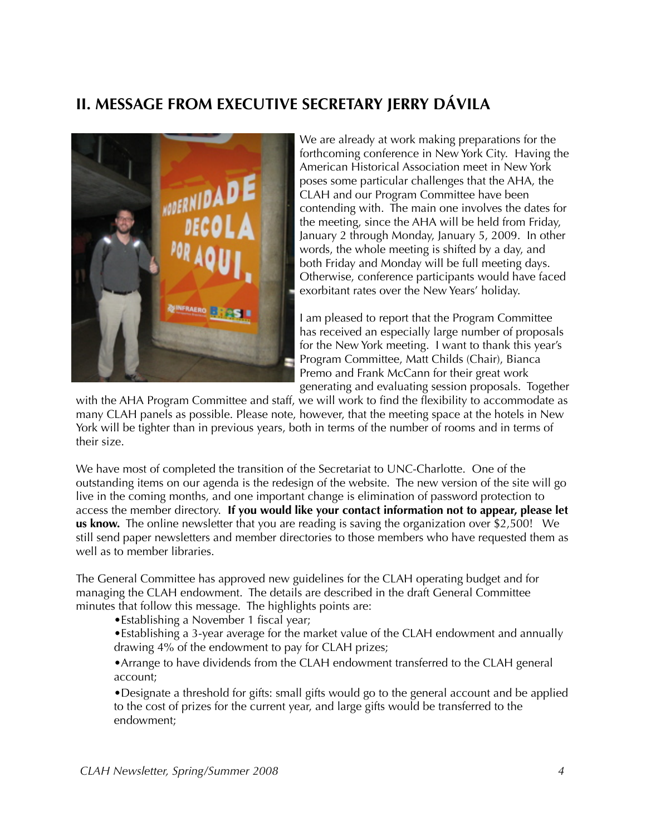# **II. MESSAGE FROM EXECUTIVE SECRETARY JERRY DÁVILA**



We are already at work making preparations for the forthcoming conference in New York City. Having the American Historical Association meet in New York poses some particular challenges that the AHA, the CLAH and our Program Committee have been contending with. The main one involves the dates for the meeting, since the AHA will be held from Friday, January 2 through Monday, January 5, 2009. In other words, the whole meeting is shifted by a day, and both Friday and Monday will be full meeting days. Otherwise, conference participants would have faced exorbitant rates over the New Years' holiday.

I am pleased to report that the Program Committee has received an especially large number of proposals for the New York meeting. I want to thank this year's Program Committee, Matt Childs (Chair), Bianca Premo and Frank McCann for their great work generating and evaluating session proposals. Together

with the AHA Program Committee and staff, we will work to find the flexibility to accommodate as many CLAH panels as possible. Please note, however, that the meeting space at the hotels in New York will be tighter than in previous years, both in terms of the number of rooms and in terms of their size.

We have most of completed the transition of the Secretariat to UNC-Charlotte. One of the outstanding items on our agenda is the redesign of the website. The new version of the site will go live in the coming months, and one important change is elimination of password protection to access the member directory. **If you would like your contact information not to appear, please let us know.** The online newsletter that you are reading is saving the organization over \$2,500! We still send paper newsletters and member directories to those members who have requested them as well as to member libraries.

The General Committee has approved new guidelines for the CLAH operating budget and for managing the CLAH endowment. The details are described in the draft General Committee minutes that follow this message. The highlights points are:

•Establishing a November 1 fiscal year;

•Establishing a 3-year average for the market value of the CLAH endowment and annually drawing 4% of the endowment to pay for CLAH prizes;

•Arrange to have dividends from the CLAH endowment transferred to the CLAH general account;

•Designate a threshold for gifts: small gifts would go to the general account and be applied to the cost of prizes for the current year, and large gifts would be transferred to the endowment;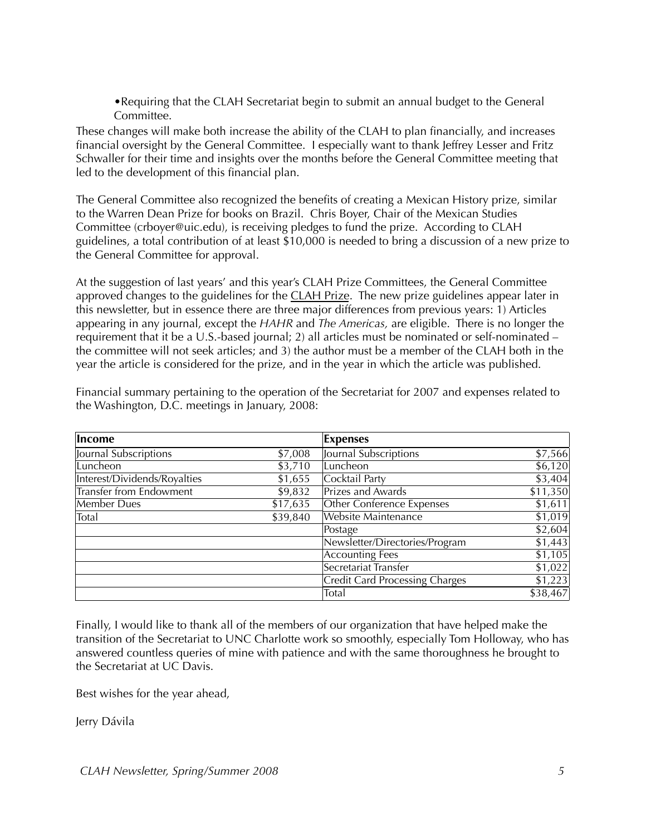•Requiring that the CLAH Secretariat begin to submit an annual budget to the General Committee.

These changes will make both increase the ability of the CLAH to plan financially, and increases financial oversight by the General Committee. I especially want to thank Jeffrey Lesser and Fritz Schwaller for their time and insights over the months before the General Committee meeting that led to the development of this financial plan.

The General Committee also recognized the benefits of creating a Mexican History prize, similar to the Warren Dean Prize for books on Brazil. Chris Boyer, Chair of the Mexican Studies Committee (crboyer@uic.edu), is receiving pledges to fund the prize. According to CLAH guidelines, a total contribution of at least \$10,000 is needed to bring a discussion of a new prize to the General Committee for approval.

At the suggestion of last years' and this year's CLAH Prize Committees, the General Committee approved changes to the guidelines for the CLAH Prize. The new prize guidelines appear later in this newsletter, but in essence there are three major differences from previous years: 1) Articles appearing in any journal, except the *HAHR* and *The Americas,* are eligible. There is no longer the requirement that it be a U.S.-based journal; 2) all articles must be nominated or self-nominated – the committee will not seek articles; and 3) the author must be a member of the CLAH both in the year the article is considered for the prize, and in the year in which the article was published.

| Income                         |          | <b>Expenses</b>                       |          |
|--------------------------------|----------|---------------------------------------|----------|
| Journal Subscriptions          | \$7,008  | Journal Subscriptions                 | \$7,566  |
| Luncheon                       | \$3,710  | Luncheon                              | \$6,120  |
| Interest/Dividends/Royalties   | \$1,655  | Cocktail Party                        | \$3,404  |
| <b>Transfer from Endowment</b> | \$9,832  | Prizes and Awards                     | \$11,350 |
| Member Dues                    | \$17,635 | Other Conference Expenses             | \$1,611  |
| Total                          | \$39,840 | <b>Website Maintenance</b>            | \$1,019  |
|                                |          | Postage                               | \$2,604  |
|                                |          | Newsletter/Directories/Program        | \$1,443  |
|                                |          | <b>Accounting Fees</b>                | \$1,105  |
|                                |          | Secretariat Transfer                  | \$1,022  |
|                                |          | <b>Credit Card Processing Charges</b> | \$1,223  |
|                                |          | Total                                 | \$38,467 |

Financial summary pertaining to the operation of the Secretariat for 2007 and expenses related to the Washington, D.C. meetings in January, 2008:

Finally, I would like to thank all of the members of our organization that have helped make the transition of the Secretariat to UNC Charlotte work so smoothly, especially Tom Holloway, who has answered countless queries of mine with patience and with the same thoroughness he brought to the Secretariat at UC Davis.

Best wishes for the year ahead,

Jerry Dávila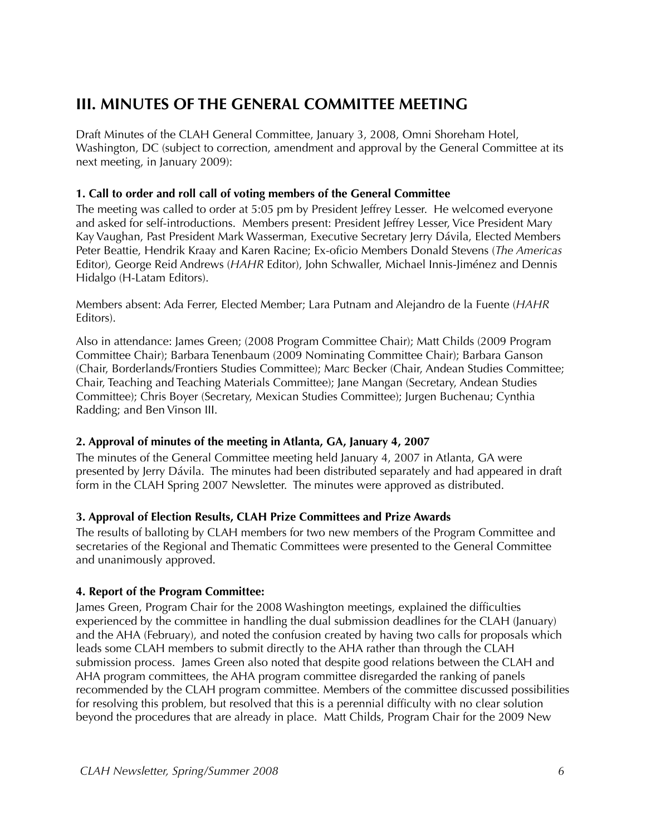# **III. MINUTES OF THE GENERAL COMMITTEE MEETING**

Draft Minutes of the CLAH General Committee, January 3, 2008, Omni Shoreham Hotel, Washington, DC (subject to correction, amendment and approval by the General Committee at its next meeting, in January 2009):

#### **1. Call to order and roll call of voting members of the General Committee**

The meeting was called to order at 5:05 pm by President Jeffrey Lesser. He welcomed everyone and asked for self-introductions. Members present: President Jeffrey Lesser, Vice President Mary Kay Vaughan, Past President Mark Wasserman, Executive Secretary Jerry Dávila, Elected Members Peter Beattie, Hendrik Kraay and Karen Racine; Ex-oficio Members Donald Stevens (*The Americas* Editor)*,* George Reid Andrews (*HAHR* Editor), John Schwaller, Michael Innis-Jiménez and Dennis Hidalgo (H-Latam Editors).

Members absent: Ada Ferrer, Elected Member; Lara Putnam and Alejandro de la Fuente (*HAHR*  Editors).

Also in attendance: James Green; (2008 Program Committee Chair); Matt Childs (2009 Program Committee Chair); Barbara Tenenbaum (2009 Nominating Committee Chair); Barbara Ganson (Chair, Borderlands/Frontiers Studies Committee); Marc Becker (Chair, Andean Studies Committee; Chair, Teaching and Teaching Materials Committee); Jane Mangan (Secretary, Andean Studies Committee); Chris Boyer (Secretary, Mexican Studies Committee); Jurgen Buchenau; Cynthia Radding; and Ben Vinson III.

### **2. Approval of minutes of the meeting in Atlanta, GA, January 4, 2007**

The minutes of the General Committee meeting held January 4, 2007 in Atlanta, GA were presented by Jerry Dávila. The minutes had been distributed separately and had appeared in draft form in the CLAH Spring 2007 Newsletter. The minutes were approved as distributed.

#### **3. Approval of Election Results, CLAH Prize Committees and Prize Awards**

The results of balloting by CLAH members for two new members of the Program Committee and secretaries of the Regional and Thematic Committees were presented to the General Committee and unanimously approved.

#### **4. Report of the Program Committee:**

James Green, Program Chair for the 2008 Washington meetings, explained the difficulties experienced by the committee in handling the dual submission deadlines for the CLAH (January) and the AHA (February), and noted the confusion created by having two calls for proposals which leads some CLAH members to submit directly to the AHA rather than through the CLAH submission process. James Green also noted that despite good relations between the CLAH and AHA program committees, the AHA program committee disregarded the ranking of panels recommended by the CLAH program committee. Members of the committee discussed possibilities for resolving this problem, but resolved that this is a perennial difficulty with no clear solution beyond the procedures that are already in place. Matt Childs, Program Chair for the 2009 New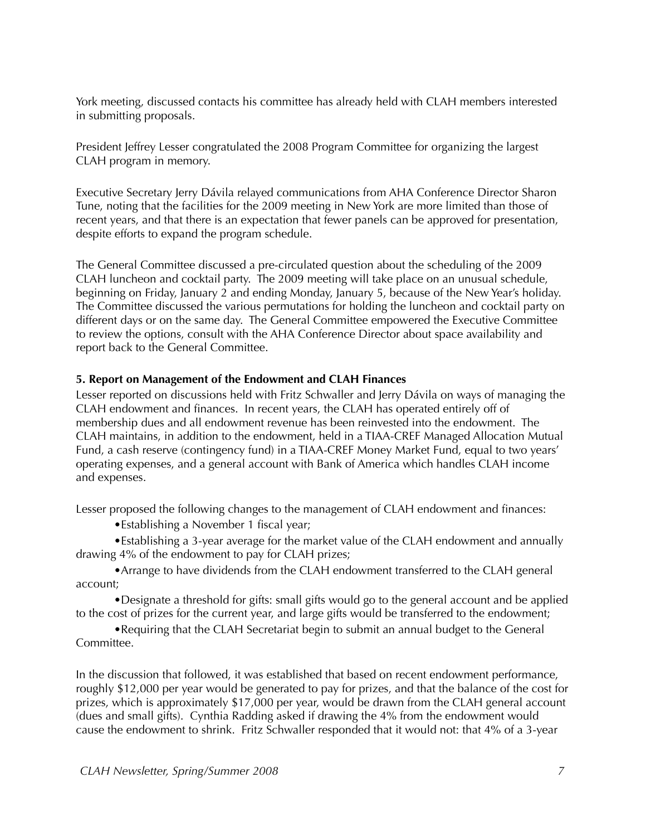York meeting, discussed contacts his committee has already held with CLAH members interested in submitting proposals.

President Jeffrey Lesser congratulated the 2008 Program Committee for organizing the largest CLAH program in memory.

Executive Secretary Jerry Dávila relayed communications from AHA Conference Director Sharon Tune, noting that the facilities for the 2009 meeting in New York are more limited than those of recent years, and that there is an expectation that fewer panels can be approved for presentation, despite efforts to expand the program schedule.

The General Committee discussed a pre-circulated question about the scheduling of the 2009 CLAH luncheon and cocktail party. The 2009 meeting will take place on an unusual schedule, beginning on Friday, January 2 and ending Monday, January 5, because of the New Year's holiday. The Committee discussed the various permutations for holding the luncheon and cocktail party on different days or on the same day. The General Committee empowered the Executive Committee to review the options, consult with the AHA Conference Director about space availability and report back to the General Committee.

#### **5. Report on Management of the Endowment and CLAH Finances**

Lesser reported on discussions held with Fritz Schwaller and Jerry Dávila on ways of managing the CLAH endowment and finances. In recent years, the CLAH has operated entirely off of membership dues and all endowment revenue has been reinvested into the endowment. The CLAH maintains, in addition to the endowment, held in a TIAA-CREF Managed Allocation Mutual Fund, a cash reserve (contingency fund) in a TIAA-CREF Money Market Fund, equal to two years' operating expenses, and a general account with Bank of America which handles CLAH income and expenses.

Lesser proposed the following changes to the management of CLAH endowment and finances:

•Establishing a November 1 fiscal year;

•Establishing a 3-year average for the market value of the CLAH endowment and annually drawing 4% of the endowment to pay for CLAH prizes;

•Arrange to have dividends from the CLAH endowment transferred to the CLAH general account;

•Designate a threshold for gifts: small gifts would go to the general account and be applied to the cost of prizes for the current year, and large gifts would be transferred to the endowment;

•Requiring that the CLAH Secretariat begin to submit an annual budget to the General Committee.

In the discussion that followed, it was established that based on recent endowment performance, roughly \$12,000 per year would be generated to pay for prizes, and that the balance of the cost for prizes, which is approximately \$17,000 per year, would be drawn from the CLAH general account (dues and small gifts). Cynthia Radding asked if drawing the 4% from the endowment would cause the endowment to shrink. Fritz Schwaller responded that it would not: that 4% of a 3-year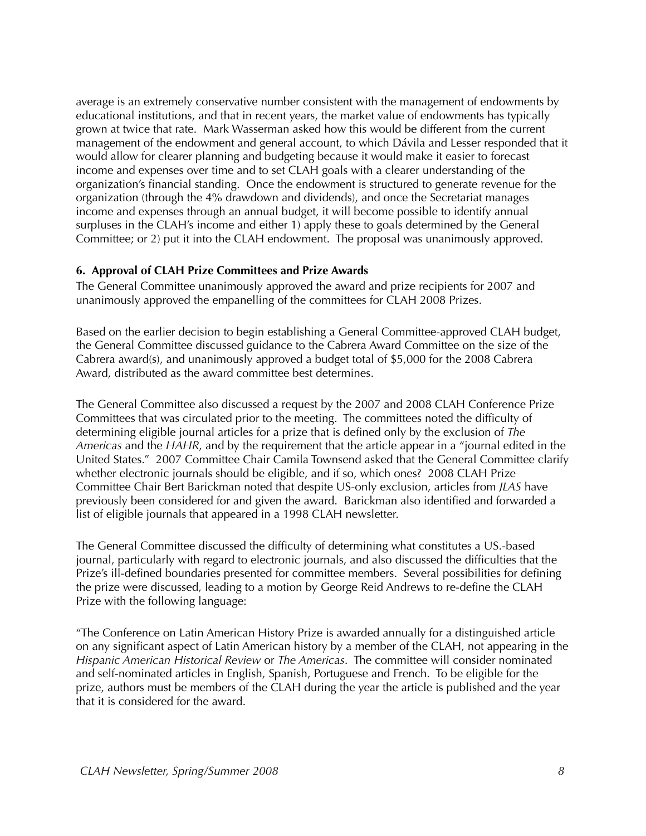average is an extremely conservative number consistent with the management of endowments by educational institutions, and that in recent years, the market value of endowments has typically grown at twice that rate. Mark Wasserman asked how this would be different from the current management of the endowment and general account, to which Dávila and Lesser responded that it would allow for clearer planning and budgeting because it would make it easier to forecast income and expenses over time and to set CLAH goals with a clearer understanding of the organization's financial standing. Once the endowment is structured to generate revenue for the organization (through the 4% drawdown and dividends), and once the Secretariat manages income and expenses through an annual budget, it will become possible to identify annual surpluses in the CLAH's income and either 1) apply these to goals determined by the General Committee; or 2) put it into the CLAH endowment. The proposal was unanimously approved.

#### **6. Approval of CLAH Prize Committees and Prize Awards**

The General Committee unanimously approved the award and prize recipients for 2007 and unanimously approved the empanelling of the committees for CLAH 2008 Prizes.

Based on the earlier decision to begin establishing a General Committee-approved CLAH budget, the General Committee discussed guidance to the Cabrera Award Committee on the size of the Cabrera award(s), and unanimously approved a budget total of \$5,000 for the 2008 Cabrera Award, distributed as the award committee best determines.

The General Committee also discussed a request by the 2007 and 2008 CLAH Conference Prize Committees that was circulated prior to the meeting. The committees noted the difficulty of determining eligible journal articles for a prize that is defined only by the exclusion of *The Americas* and the *HAHR*, and by the requirement that the article appear in a "journal edited in the United States." 2007 Committee Chair Camila Townsend asked that the General Committee clarify whether electronic journals should be eligible, and if so, which ones? 2008 CLAH Prize Committee Chair Bert Barickman noted that despite US-only exclusion, articles from *JLAS* have previously been considered for and given the award. Barickman also identified and forwarded a list of eligible journals that appeared in a 1998 CLAH newsletter.

The General Committee discussed the difficulty of determining what constitutes a US.-based journal, particularly with regard to electronic journals, and also discussed the difficulties that the Prize's ill-defined boundaries presented for committee members. Several possibilities for defining the prize were discussed, leading to a motion by George Reid Andrews to re-define the CLAH Prize with the following language:

"The Conference on Latin American History Prize is awarded annually for a distinguished article on any significant aspect of Latin American history by a member of the CLAH, not appearing in the *Hispanic American Historical Review* or *The Americas*. The committee will consider nominated and self-nominated articles in English, Spanish, Portuguese and French. To be eligible for the prize, authors must be members of the CLAH during the year the article is published and the year that it is considered for the award.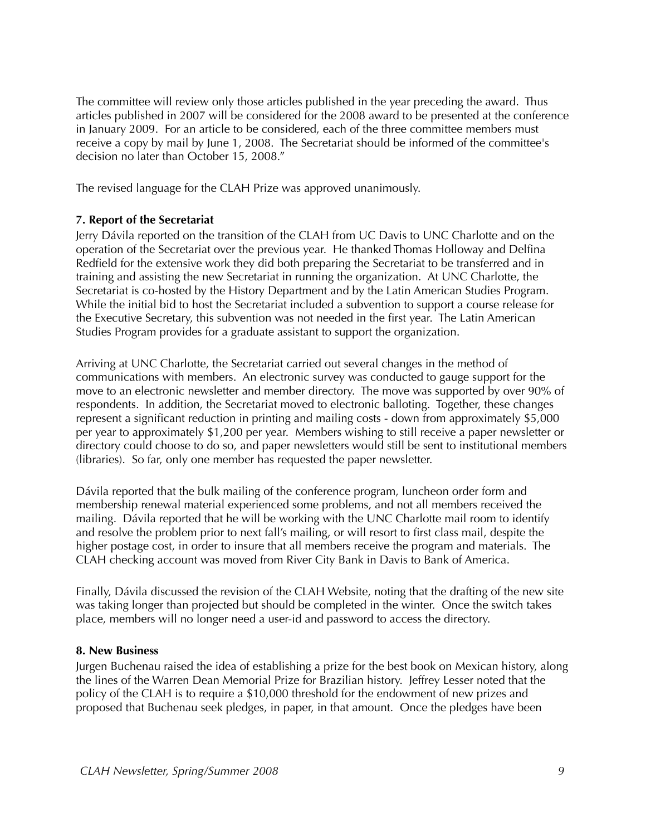The committee will review only those articles published in the year preceding the award. Thus articles published in 2007 will be considered for the 2008 award to be presented at the conference in January 2009. For an article to be considered, each of the three committee members must receive a copy by mail by June 1, 2008. The Secretariat should be informed of the committee's decision no later than October 15, 2008."

The revised language for the CLAH Prize was approved unanimously.

#### **7. Report of the Secretariat**

Jerry Dávila reported on the transition of the CLAH from UC Davis to UNC Charlotte and on the operation of the Secretariat over the previous year. He thanked Thomas Holloway and Delfina Redfield for the extensive work they did both preparing the Secretariat to be transferred and in training and assisting the new Secretariat in running the organization. At UNC Charlotte, the Secretariat is co-hosted by the History Department and by the Latin American Studies Program. While the initial bid to host the Secretariat included a subvention to support a course release for the Executive Secretary, this subvention was not needed in the first year. The Latin American Studies Program provides for a graduate assistant to support the organization.

Arriving at UNC Charlotte, the Secretariat carried out several changes in the method of communications with members. An electronic survey was conducted to gauge support for the move to an electronic newsletter and member directory. The move was supported by over 90% of respondents. In addition, the Secretariat moved to electronic balloting. Together, these changes represent a significant reduction in printing and mailing costs - down from approximately \$5,000 per year to approximately \$1,200 per year. Members wishing to still receive a paper newsletter or directory could choose to do so, and paper newsletters would still be sent to institutional members (libraries). So far, only one member has requested the paper newsletter.

Dávila reported that the bulk mailing of the conference program, luncheon order form and membership renewal material experienced some problems, and not all members received the mailing. Dávila reported that he will be working with the UNC Charlotte mail room to identify and resolve the problem prior to next fall's mailing, or will resort to first class mail, despite the higher postage cost, in order to insure that all members receive the program and materials. The CLAH checking account was moved from River City Bank in Davis to Bank of America.

Finally, Dávila discussed the revision of the CLAH Website, noting that the drafting of the new site was taking longer than projected but should be completed in the winter. Once the switch takes place, members will no longer need a user-id and password to access the directory.

#### **8. New Business**

Jurgen Buchenau raised the idea of establishing a prize for the best book on Mexican history, along the lines of the Warren Dean Memorial Prize for Brazilian history. Jeffrey Lesser noted that the policy of the CLAH is to require a \$10,000 threshold for the endowment of new prizes and proposed that Buchenau seek pledges, in paper, in that amount. Once the pledges have been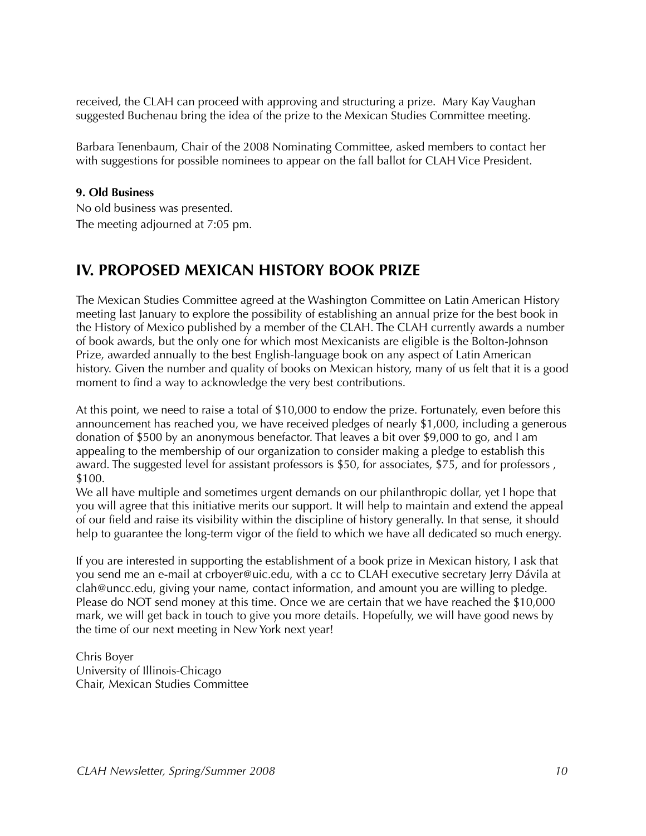received, the CLAH can proceed with approving and structuring a prize. Mary Kay Vaughan suggested Buchenau bring the idea of the prize to the Mexican Studies Committee meeting.

Barbara Tenenbaum, Chair of the 2008 Nominating Committee, asked members to contact her with suggestions for possible nominees to appear on the fall ballot for CLAH Vice President.

#### **9. Old Business**

No old business was presented. The meeting adjourned at 7:05 pm.

### **IV. PROPOSED MEXICAN HISTORY BOOK PRIZE**

The Mexican Studies Committee agreed at the Washington Committee on Latin American History meeting last January to explore the possibility of establishing an annual prize for the best book in the History of Mexico published by a member of the CLAH. The CLAH currently awards a number of book awards, but the only one for which most Mexicanists are eligible is the Bolton-Johnson Prize, awarded annually to the best English-language book on any aspect of Latin American history. Given the number and quality of books on Mexican history, many of us felt that it is a good moment to find a way to acknowledge the very best contributions.

At this point, we need to raise a total of \$10,000 to endow the prize. Fortunately, even before this announcement has reached you, we have received pledges of nearly \$1,000, including a generous donation of \$500 by an anonymous benefactor. That leaves a bit over \$9,000 to go, and I am appealing to the membership of our organization to consider making a pledge to establish this award. The suggested level for assistant professors is \$50, for associates, \$75, and for professors , \$100.

We all have multiple and sometimes urgent demands on our philanthropic dollar, yet I hope that you will agree that this initiative merits our support. It will help to maintain and extend the appeal of our field and raise its visibility within the discipline of history generally. In that sense, it should help to guarantee the long-term vigor of the field to which we have all dedicated so much energy.

If you are interested in supporting the establishment of a book prize in Mexican history, I ask that you send me an e-mail at crboyer@uic.edu, with a cc to CLAH executive secretary Jerry Dávila at clah@uncc.edu, giving your name, contact information, and amount you are willing to pledge. Please do NOT send money at this time. Once we are certain that we have reached the \$10,000 mark, we will get back in touch to give you more details. Hopefully, we will have good news by the time of our next meeting in New York next year!

Chris Boyer University of Illinois-Chicago Chair, Mexican Studies Committee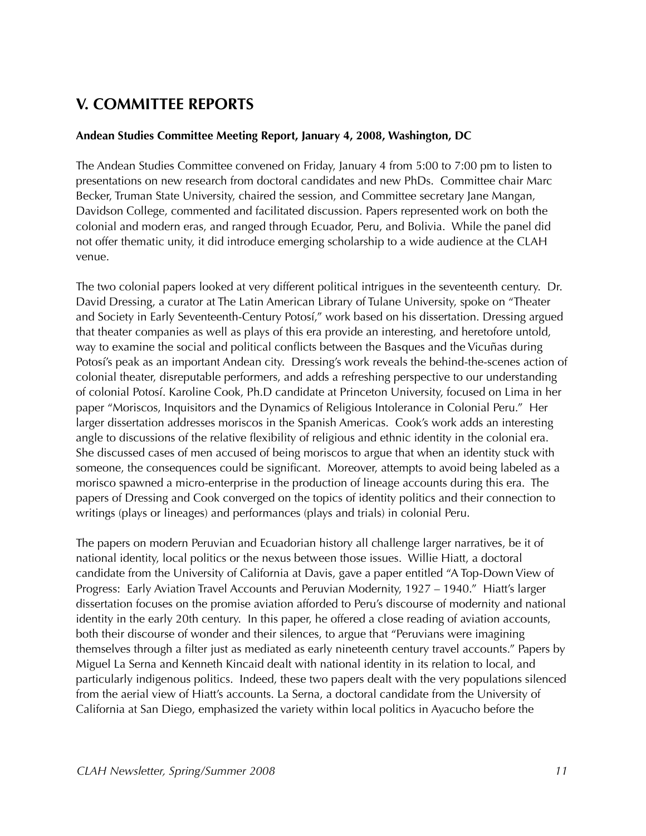# **V. COMMITTEE REPORTS**

#### **Andean Studies Committee Meeting Report, January 4, 2008, Washington, DC**

The Andean Studies Committee convened on Friday, January 4 from 5:00 to 7:00 pm to listen to presentations on new research from doctoral candidates and new PhDs. Committee chair Marc Becker, Truman State University, chaired the session, and Committee secretary Jane Mangan, Davidson College, commented and facilitated discussion. Papers represented work on both the colonial and modern eras, and ranged through Ecuador, Peru, and Bolivia. While the panel did not offer thematic unity, it did introduce emerging scholarship to a wide audience at the CLAH venue.

The two colonial papers looked at very different political intrigues in the seventeenth century. Dr. David Dressing, a curator at The Latin American Library of Tulane University, spoke on "Theater and Society in Early Seventeenth-Century Potosí," work based on his dissertation. Dressing argued that theater companies as well as plays of this era provide an interesting, and heretofore untold, way to examine the social and political conflicts between the Basques and the Vicuñas during Potosí's peak as an important Andean city. Dressing's work reveals the behind-the-scenes action of colonial theater, disreputable performers, and adds a refreshing perspective to our understanding of colonial Potosí. Karoline Cook, Ph.D candidate at Princeton University, focused on Lima in her paper "Moriscos, Inquisitors and the Dynamics of Religious Intolerance in Colonial Peru." Her larger dissertation addresses moriscos in the Spanish Americas. Cook's work adds an interesting angle to discussions of the relative flexibility of religious and ethnic identity in the colonial era. She discussed cases of men accused of being moriscos to argue that when an identity stuck with someone, the consequences could be significant. Moreover, attempts to avoid being labeled as a morisco spawned a micro-enterprise in the production of lineage accounts during this era. The papers of Dressing and Cook converged on the topics of identity politics and their connection to writings (plays or lineages) and performances (plays and trials) in colonial Peru.

The papers on modern Peruvian and Ecuadorian history all challenge larger narratives, be it of national identity, local politics or the nexus between those issues. Willie Hiatt, a doctoral candidate from the University of California at Davis, gave a paper entitled "A Top-Down View of Progress: Early Aviation Travel Accounts and Peruvian Modernity, 1927 – 1940." Hiatt's larger dissertation focuses on the promise aviation afforded to Peru's discourse of modernity and national identity in the early 20th century. In this paper, he offered a close reading of aviation accounts, both their discourse of wonder and their silences, to argue that "Peruvians were imagining themselves through a filter just as mediated as early nineteenth century travel accounts." Papers by Miguel La Serna and Kenneth Kincaid dealt with national identity in its relation to local, and particularly indigenous politics. Indeed, these two papers dealt with the very populations silenced from the aerial view of Hiatt's accounts. La Serna, a doctoral candidate from the University of California at San Diego, emphasized the variety within local politics in Ayacucho before the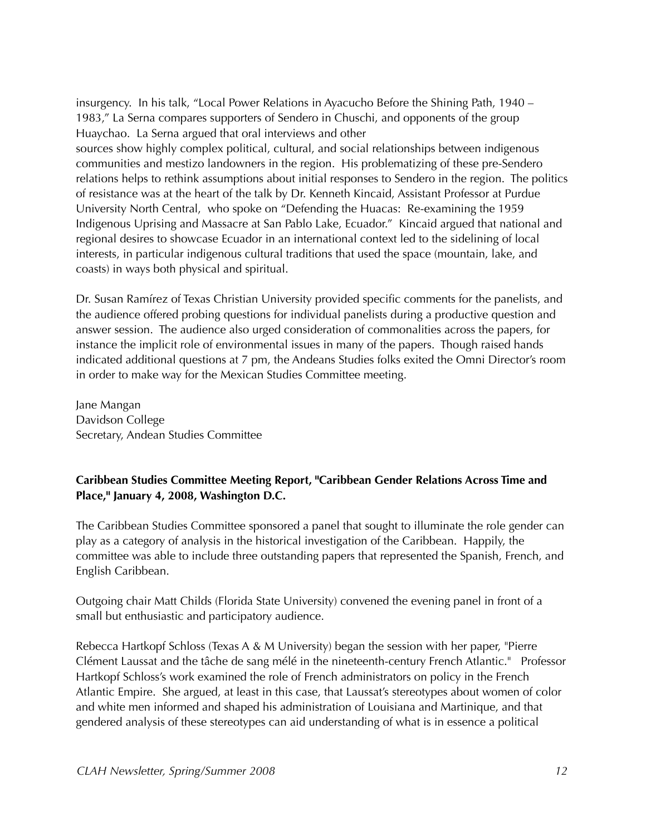insurgency. In his talk, "Local Power Relations in Ayacucho Before the Shining Path, 1940 – 1983," La Serna compares supporters of Sendero in Chuschi, and opponents of the group Huaychao. La Serna argued that oral interviews and other

sources show highly complex political, cultural, and social relationships between indigenous communities and mestizo landowners in the region. His problematizing of these pre-Sendero relations helps to rethink assumptions about initial responses to Sendero in the region. The politics of resistance was at the heart of the talk by Dr. Kenneth Kincaid, Assistant Professor at Purdue University North Central, who spoke on "Defending the Huacas: Re-examining the 1959 Indigenous Uprising and Massacre at San Pablo Lake, Ecuador." Kincaid argued that national and regional desires to showcase Ecuador in an international context led to the sidelining of local interests, in particular indigenous cultural traditions that used the space (mountain, lake, and coasts) in ways both physical and spiritual.

Dr. Susan Ramírez of Texas Christian University provided specific comments for the panelists, and the audience offered probing questions for individual panelists during a productive question and answer session. The audience also urged consideration of commonalities across the papers, for instance the implicit role of environmental issues in many of the papers. Though raised hands indicated additional questions at 7 pm, the Andeans Studies folks exited the Omni Director's room in order to make way for the Mexican Studies Committee meeting.

Jane Mangan Davidson College Secretary, Andean Studies Committee

#### **Caribbean Studies Committee Meeting Report, "Caribbean Gender Relations Across Time and Place," January 4, 2008, Washington D.C.**

The Caribbean Studies Committee sponsored a panel that sought to illuminate the role gender can play as a category of analysis in the historical investigation of the Caribbean. Happily, the committee was able to include three outstanding papers that represented the Spanish, French, and English Caribbean.

Outgoing chair Matt Childs (Florida State University) convened the evening panel in front of a small but enthusiastic and participatory audience.

Rebecca Hartkopf Schloss (Texas A & M University) began the session with her paper, "Pierre Clément Laussat and the tâche de sang mélé in the nineteenth-century French Atlantic." Professor Hartkopf Schloss's work examined the role of French administrators on policy in the French Atlantic Empire. She argued, at least in this case, that Laussat's stereotypes about women of color and white men informed and shaped his administration of Louisiana and Martinique, and that gendered analysis of these stereotypes can aid understanding of what is in essence a political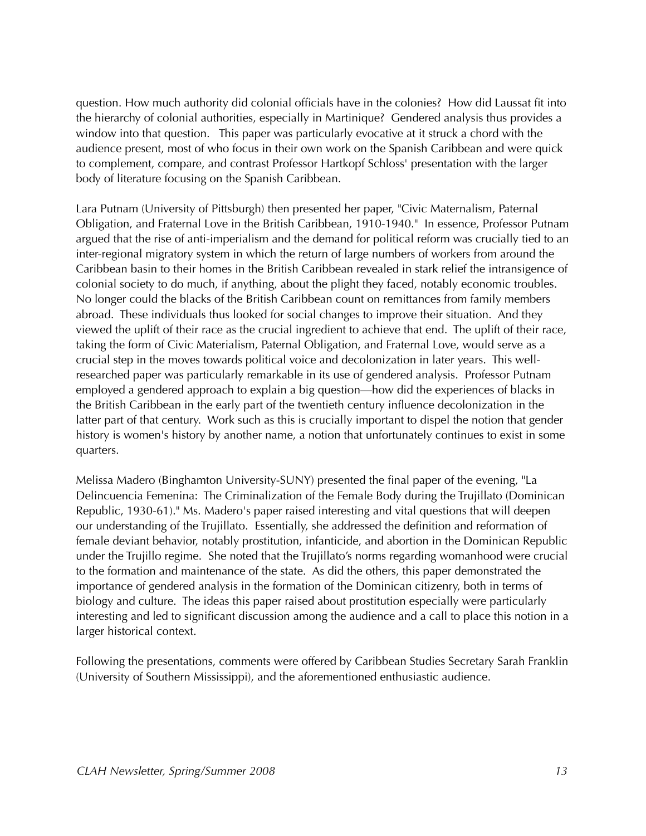question. How much authority did colonial officials have in the colonies? How did Laussat fit into the hierarchy of colonial authorities, especially in Martinique? Gendered analysis thus provides a window into that question. This paper was particularly evocative at it struck a chord with the audience present, most of who focus in their own work on the Spanish Caribbean and were quick to complement, compare, and contrast Professor Hartkopf Schloss' presentation with the larger body of literature focusing on the Spanish Caribbean.

Lara Putnam (University of Pittsburgh) then presented her paper, "Civic Maternalism, Paternal Obligation, and Fraternal Love in the British Caribbean, 1910-1940." In essence, Professor Putnam argued that the rise of anti-imperialism and the demand for political reform was crucially tied to an inter-regional migratory system in which the return of large numbers of workers from around the Caribbean basin to their homes in the British Caribbean revealed in stark relief the intransigence of colonial society to do much, if anything, about the plight they faced, notably economic troubles. No longer could the blacks of the British Caribbean count on remittances from family members abroad. These individuals thus looked for social changes to improve their situation. And they viewed the uplift of their race as the crucial ingredient to achieve that end. The uplift of their race, taking the form of Civic Materialism, Paternal Obligation, and Fraternal Love, would serve as a crucial step in the moves towards political voice and decolonization in later years. This wellresearched paper was particularly remarkable in its use of gendered analysis. Professor Putnam employed a gendered approach to explain a big question—how did the experiences of blacks in the British Caribbean in the early part of the twentieth century influence decolonization in the latter part of that century. Work such as this is crucially important to dispel the notion that gender history is women's history by another name, a notion that unfortunately continues to exist in some quarters.

Melissa Madero (Binghamton University-SUNY) presented the final paper of the evening, "La Delincuencia Femenina: The Criminalization of the Female Body during the Trujillato (Dominican Republic, 1930-61)." Ms. Madero's paper raised interesting and vital questions that will deepen our understanding of the Trujillato. Essentially, she addressed the definition and reformation of female deviant behavior, notably prostitution, infanticide, and abortion in the Dominican Republic under the Trujillo regime. She noted that the Trujillato's norms regarding womanhood were crucial to the formation and maintenance of the state. As did the others, this paper demonstrated the importance of gendered analysis in the formation of the Dominican citizenry, both in terms of biology and culture. The ideas this paper raised about prostitution especially were particularly interesting and led to significant discussion among the audience and a call to place this notion in a larger historical context.

Following the presentations, comments were offered by Caribbean Studies Secretary Sarah Franklin (University of Southern Mississippi), and the aforementioned enthusiastic audience.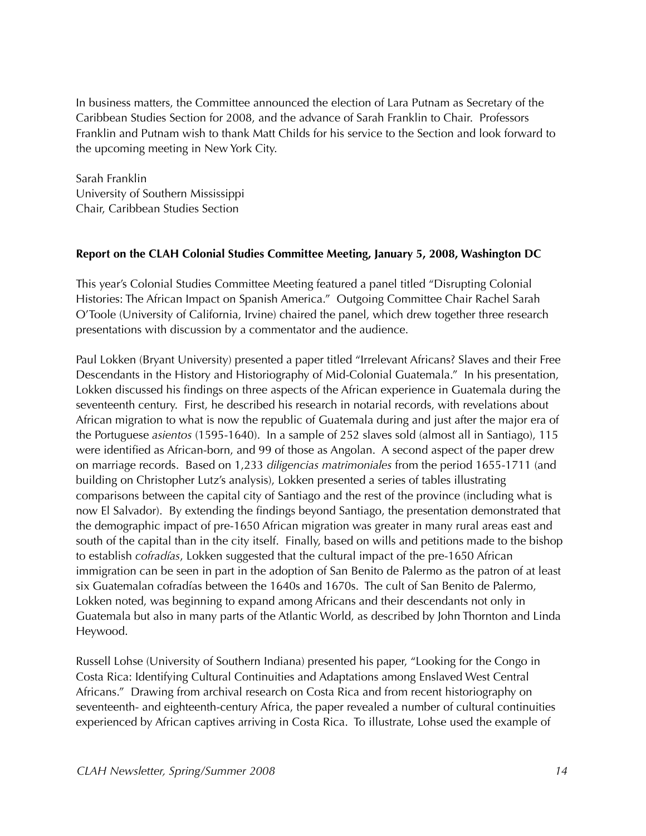In business matters, the Committee announced the election of Lara Putnam as Secretary of the Caribbean Studies Section for 2008, and the advance of Sarah Franklin to Chair. Professors Franklin and Putnam wish to thank Matt Childs for his service to the Section and look forward to the upcoming meeting in New York City.

Sarah Franklin University of Southern Mississippi Chair, Caribbean Studies Section

#### **Report on the CLAH Colonial Studies Committee Meeting, January 5, 2008, Washington DC**

This year's Colonial Studies Committee Meeting featured a panel titled "Disrupting Colonial Histories: The African Impact on Spanish America." Outgoing Committee Chair Rachel Sarah O'Toole (University of California, Irvine) chaired the panel, which drew together three research presentations with discussion by a commentator and the audience.

Paul Lokken (Bryant University) presented a paper titled "Irrelevant Africans? Slaves and their Free Descendants in the History and Historiography of Mid-Colonial Guatemala." In his presentation, Lokken discussed his findings on three aspects of the African experience in Guatemala during the seventeenth century. First, he described his research in notarial records, with revelations about African migration to what is now the republic of Guatemala during and just after the major era of the Portuguese *asientos* (1595-1640). In a sample of 252 slaves sold (almost all in Santiago), 115 were identified as African-born, and 99 of those as Angolan. A second aspect of the paper drew on marriage records. Based on 1,233 *diligencias matrimoniales* from the period 1655-1711 (and building on Christopher Lutz's analysis), Lokken presented a series of tables illustrating comparisons between the capital city of Santiago and the rest of the province (including what is now El Salvador). By extending the findings beyond Santiago, the presentation demonstrated that the demographic impact of pre-1650 African migration was greater in many rural areas east and south of the capital than in the city itself. Finally, based on wills and petitions made to the bishop to establish *cofradías*, Lokken suggested that the cultural impact of the pre-1650 African immigration can be seen in part in the adoption of San Benito de Palermo as the patron of at least six Guatemalan cofradías between the 1640s and 1670s. The cult of San Benito de Palermo, Lokken noted, was beginning to expand among Africans and their descendants not only in Guatemala but also in many parts of the Atlantic World, as described by John Thornton and Linda Heywood.

Russell Lohse (University of Southern Indiana) presented his paper, "Looking for the Congo in Costa Rica: Identifying Cultural Continuities and Adaptations among Enslaved West Central Africans." Drawing from archival research on Costa Rica and from recent historiography on seventeenth- and eighteenth-century Africa, the paper revealed a number of cultural continuities experienced by African captives arriving in Costa Rica. To illustrate, Lohse used the example of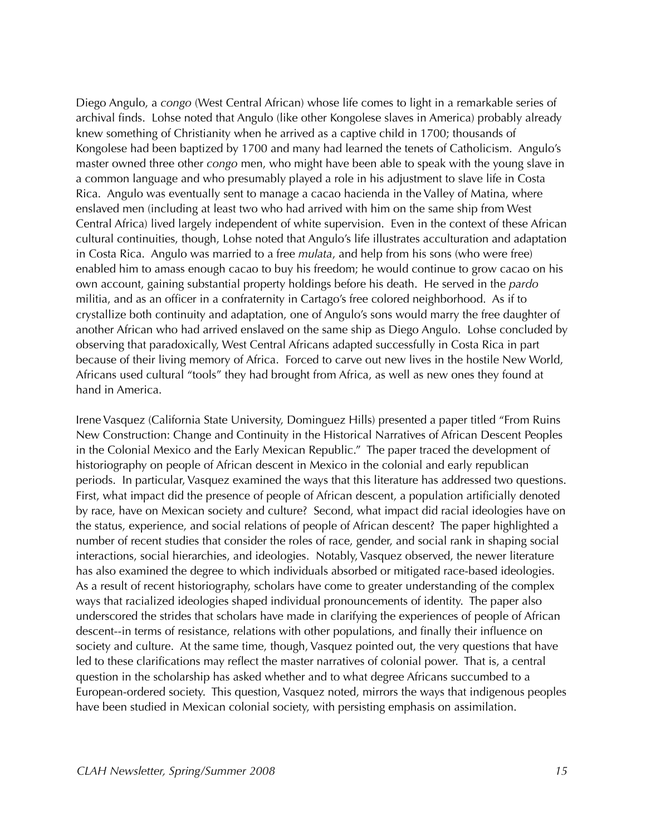Diego Angulo, a *congo* (West Central African) whose life comes to light in a remarkable series of archival finds. Lohse noted that Angulo (like other Kongolese slaves in America) probably already knew something of Christianity when he arrived as a captive child in 1700; thousands of Kongolese had been baptized by 1700 and many had learned the tenets of Catholicism. Angulo's master owned three other *congo* men, who might have been able to speak with the young slave in a common language and who presumably played a role in his adjustment to slave life in Costa Rica. Angulo was eventually sent to manage a cacao hacienda in the Valley of Matina, where enslaved men (including at least two who had arrived with him on the same ship from West Central Africa) lived largely independent of white supervision. Even in the context of these African cultural continuities, though, Lohse noted that Angulo's life illustrates acculturation and adaptation in Costa Rica. Angulo was married to a free *mulata*, and help from his sons (who were free) enabled him to amass enough cacao to buy his freedom; he would continue to grow cacao on his own account, gaining substantial property holdings before his death. He served in the *pardo*  militia, and as an officer in a confraternity in Cartago's free colored neighborhood. As if to crystallize both continuity and adaptation, one of Angulo's sons would marry the free daughter of another African who had arrived enslaved on the same ship as Diego Angulo. Lohse concluded by observing that paradoxically, West Central Africans adapted successfully in Costa Rica in part because of their living memory of Africa. Forced to carve out new lives in the hostile New World, Africans used cultural "tools" they had brought from Africa, as well as new ones they found at hand in America.

Irene Vasquez (California State University, Dominguez Hills) presented a paper titled "From Ruins New Construction: Change and Continuity in the Historical Narratives of African Descent Peoples in the Colonial Mexico and the Early Mexican Republic." The paper traced the development of historiography on people of African descent in Mexico in the colonial and early republican periods. In particular, Vasquez examined the ways that this literature has addressed two questions. First, what impact did the presence of people of African descent, a population artificially denoted by race, have on Mexican society and culture? Second, what impact did racial ideologies have on the status, experience, and social relations of people of African descent? The paper highlighted a number of recent studies that consider the roles of race, gender, and social rank in shaping social interactions, social hierarchies, and ideologies. Notably, Vasquez observed, the newer literature has also examined the degree to which individuals absorbed or mitigated race-based ideologies. As a result of recent historiography, scholars have come to greater understanding of the complex ways that racialized ideologies shaped individual pronouncements of identity. The paper also underscored the strides that scholars have made in clarifying the experiences of people of African descent--in terms of resistance, relations with other populations, and finally their influence on society and culture. At the same time, though, Vasquez pointed out, the very questions that have led to these clarifications may reflect the master narratives of colonial power. That is, a central question in the scholarship has asked whether and to what degree Africans succumbed to a European-ordered society. This question, Vasquez noted, mirrors the ways that indigenous peoples have been studied in Mexican colonial society, with persisting emphasis on assimilation.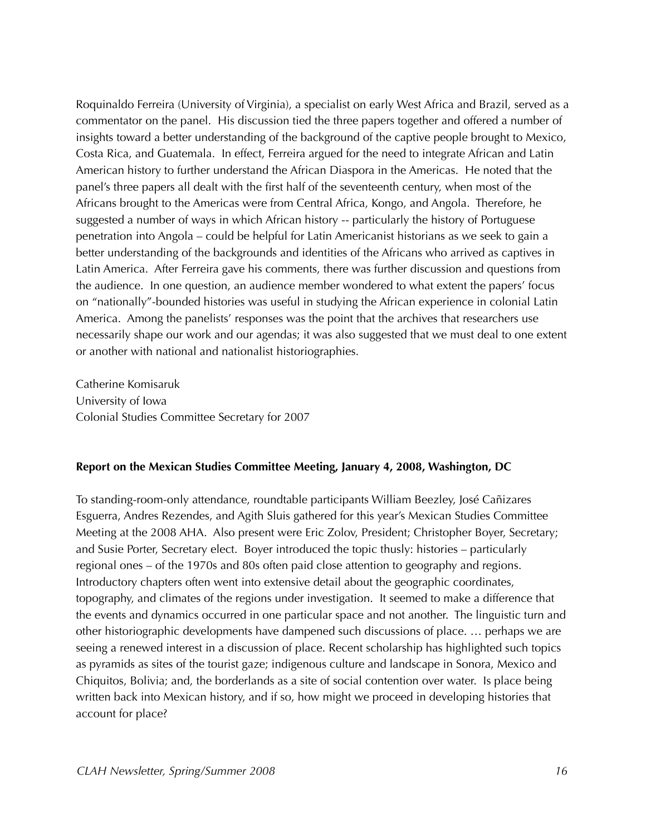Roquinaldo Ferreira (University of Virginia), a specialist on early West Africa and Brazil, served as a commentator on the panel. His discussion tied the three papers together and offered a number of insights toward a better understanding of the background of the captive people brought to Mexico, Costa Rica, and Guatemala. In effect, Ferreira argued for the need to integrate African and Latin American history to further understand the African Diaspora in the Americas. He noted that the panel's three papers all dealt with the first half of the seventeenth century, when most of the Africans brought to the Americas were from Central Africa, Kongo, and Angola. Therefore, he suggested a number of ways in which African history -- particularly the history of Portuguese penetration into Angola – could be helpful for Latin Americanist historians as we seek to gain a better understanding of the backgrounds and identities of the Africans who arrived as captives in Latin America. After Ferreira gave his comments, there was further discussion and questions from the audience. In one question, an audience member wondered to what extent the papers' focus on "nationally"-bounded histories was useful in studying the African experience in colonial Latin America. Among the panelists' responses was the point that the archives that researchers use necessarily shape our work and our agendas; it was also suggested that we must deal to one extent or another with national and nationalist historiographies.

Catherine Komisaruk University of Iowa Colonial Studies Committee Secretary for 2007

#### **Report on the Mexican Studies Committee Meeting, January 4, 2008, Washington, DC**

To standing-room-only attendance, roundtable participants William Beezley, José Cañizares Esguerra, Andres Rezendes, and Agith Sluis gathered for this year's Mexican Studies Committee Meeting at the 2008 AHA. Also present were Eric Zolov, President; Christopher Boyer, Secretary; and Susie Porter, Secretary elect. Boyer introduced the topic thusly: histories – particularly regional ones – of the 1970s and 80s often paid close attention to geography and regions. Introductory chapters often went into extensive detail about the geographic coordinates, topography, and climates of the regions under investigation. It seemed to make a difference that the events and dynamics occurred in one particular space and not another. The linguistic turn and other historiographic developments have dampened such discussions of place. … perhaps we are seeing a renewed interest in a discussion of place. Recent scholarship has highlighted such topics as pyramids as sites of the tourist gaze; indigenous culture and landscape in Sonora, Mexico and Chiquitos, Bolivia; and, the borderlands as a site of social contention over water. Is place being written back into Mexican history, and if so, how might we proceed in developing histories that account for place?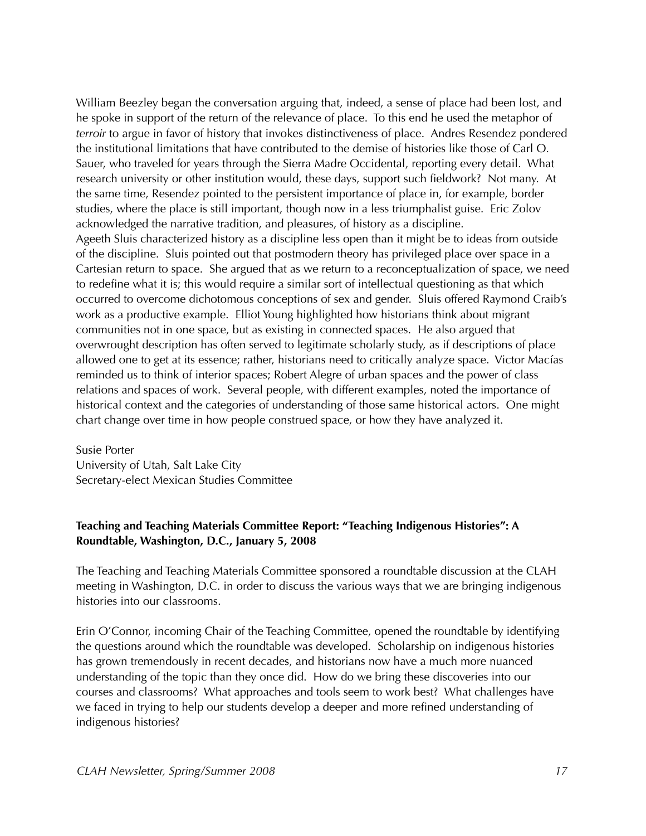William Beezley began the conversation arguing that, indeed, a sense of place had been lost, and he spoke in support of the return of the relevance of place. To this end he used the metaphor of *terroir* to argue in favor of history that invokes distinctiveness of place. Andres Resendez pondered the institutional limitations that have contributed to the demise of histories like those of Carl O. Sauer, who traveled for years through the Sierra Madre Occidental, reporting every detail. What research university or other institution would, these days, support such fieldwork? Not many. At the same time, Resendez pointed to the persistent importance of place in, for example, border studies, where the place is still important, though now in a less triumphalist guise. Eric Zolov acknowledged the narrative tradition, and pleasures, of history as a discipline. Ageeth Sluis characterized history as a discipline less open than it might be to ideas from outside of the discipline. Sluis pointed out that postmodern theory has privileged place over space in a Cartesian return to space. She argued that as we return to a reconceptualization of space, we need to redefine what it is; this would require a similar sort of intellectual questioning as that which occurred to overcome dichotomous conceptions of sex and gender. Sluis offered Raymond Craib's work as a productive example. Elliot Young highlighted how historians think about migrant communities not in one space, but as existing in connected spaces. He also argued that overwrought description has often served to legitimate scholarly study, as if descriptions of place allowed one to get at its essence; rather, historians need to critically analyze space. Victor Macías reminded us to think of interior spaces; Robert Alegre of urban spaces and the power of class relations and spaces of work. Several people, with different examples, noted the importance of historical context and the categories of understanding of those same historical actors. One might chart change over time in how people construed space, or how they have analyzed it.

Susie Porter University of Utah, Salt Lake City Secretary-elect Mexican Studies Committee

#### **Teaching and Teaching Materials Committee Report: "Teaching Indigenous Histories": A Roundtable, Washington, D.C., January 5, 2008**

The Teaching and Teaching Materials Committee sponsored a roundtable discussion at the CLAH meeting in Washington, D.C. in order to discuss the various ways that we are bringing indigenous histories into our classrooms.

Erin O'Connor, incoming Chair of the Teaching Committee, opened the roundtable by identifying the questions around which the roundtable was developed. Scholarship on indigenous histories has grown tremendously in recent decades, and historians now have a much more nuanced understanding of the topic than they once did. How do we bring these discoveries into our courses and classrooms? What approaches and tools seem to work best? What challenges have we faced in trying to help our students develop a deeper and more refined understanding of indigenous histories?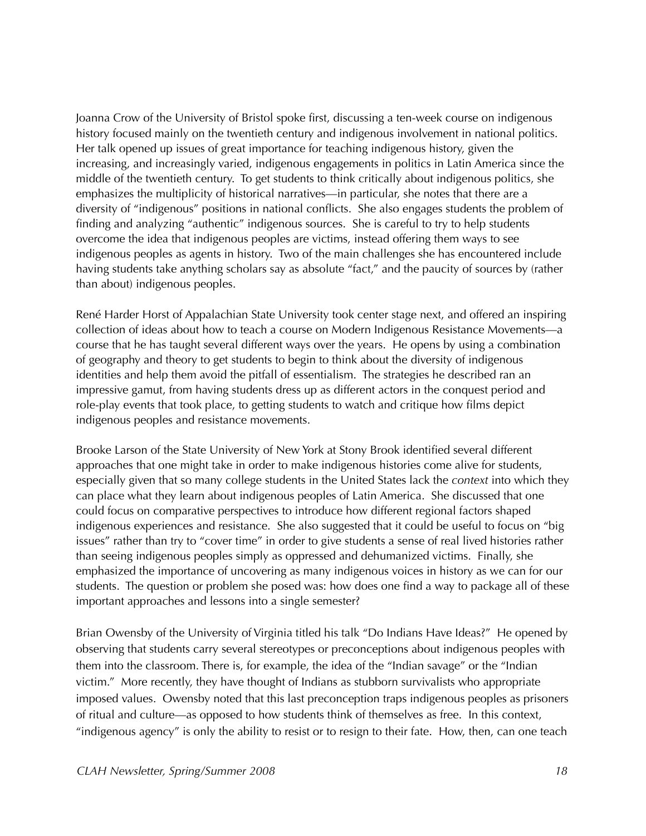Joanna Crow of the University of Bristol spoke first, discussing a ten-week course on indigenous history focused mainly on the twentieth century and indigenous involvement in national politics. Her talk opened up issues of great importance for teaching indigenous history, given the increasing, and increasingly varied, indigenous engagements in politics in Latin America since the middle of the twentieth century. To get students to think critically about indigenous politics, she emphasizes the multiplicity of historical narratives—in particular, she notes that there are a diversity of "indigenous" positions in national conflicts. She also engages students the problem of finding and analyzing "authentic" indigenous sources. She is careful to try to help students overcome the idea that indigenous peoples are victims, instead offering them ways to see indigenous peoples as agents in history. Two of the main challenges she has encountered include having students take anything scholars say as absolute "fact," and the paucity of sources by (rather than about) indigenous peoples.

René Harder Horst of Appalachian State University took center stage next, and offered an inspiring collection of ideas about how to teach a course on Modern Indigenous Resistance Movements—a course that he has taught several different ways over the years. He opens by using a combination of geography and theory to get students to begin to think about the diversity of indigenous identities and help them avoid the pitfall of essentialism. The strategies he described ran an impressive gamut, from having students dress up as different actors in the conquest period and role-play events that took place, to getting students to watch and critique how films depict indigenous peoples and resistance movements.

Brooke Larson of the State University of New York at Stony Brook identified several different approaches that one might take in order to make indigenous histories come alive for students, especially given that so many college students in the United States lack the *context* into which they can place what they learn about indigenous peoples of Latin America. She discussed that one could focus on comparative perspectives to introduce how different regional factors shaped indigenous experiences and resistance. She also suggested that it could be useful to focus on "big issues" rather than try to "cover time" in order to give students a sense of real lived histories rather than seeing indigenous peoples simply as oppressed and dehumanized victims. Finally, she emphasized the importance of uncovering as many indigenous voices in history as we can for our students. The question or problem she posed was: how does one find a way to package all of these important approaches and lessons into a single semester?

Brian Owensby of the University of Virginia titled his talk "Do Indians Have Ideas?" He opened by observing that students carry several stereotypes or preconceptions about indigenous peoples with them into the classroom. There is, for example, the idea of the "Indian savage" or the "Indian victim." More recently, they have thought of Indians as stubborn survivalists who appropriate imposed values. Owensby noted that this last preconception traps indigenous peoples as prisoners of ritual and culture—as opposed to how students think of themselves as free. In this context, "indigenous agency" is only the ability to resist or to resign to their fate. How, then, can one teach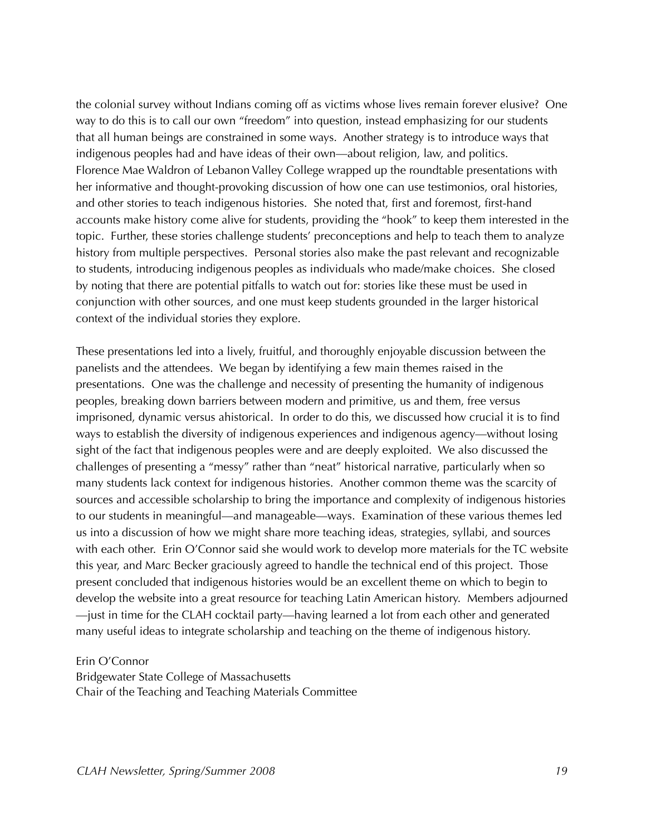the colonial survey without Indians coming off as victims whose lives remain forever elusive? One way to do this is to call our own "freedom" into question, instead emphasizing for our students that all human beings are constrained in some ways. Another strategy is to introduce ways that indigenous peoples had and have ideas of their own—about religion, law, and politics. Florence Mae Waldron of Lebanon Valley College wrapped up the roundtable presentations with her informative and thought-provoking discussion of how one can use testimonios, oral histories, and other stories to teach indigenous histories. She noted that, first and foremost, first-hand accounts make history come alive for students, providing the "hook" to keep them interested in the topic. Further, these stories challenge students' preconceptions and help to teach them to analyze history from multiple perspectives. Personal stories also make the past relevant and recognizable to students, introducing indigenous peoples as individuals who made/make choices. She closed by noting that there are potential pitfalls to watch out for: stories like these must be used in conjunction with other sources, and one must keep students grounded in the larger historical context of the individual stories they explore.

These presentations led into a lively, fruitful, and thoroughly enjoyable discussion between the panelists and the attendees. We began by identifying a few main themes raised in the presentations. One was the challenge and necessity of presenting the humanity of indigenous peoples, breaking down barriers between modern and primitive, us and them, free versus imprisoned, dynamic versus ahistorical. In order to do this, we discussed how crucial it is to find ways to establish the diversity of indigenous experiences and indigenous agency—without losing sight of the fact that indigenous peoples were and are deeply exploited. We also discussed the challenges of presenting a "messy" rather than "neat" historical narrative, particularly when so many students lack context for indigenous histories. Another common theme was the scarcity of sources and accessible scholarship to bring the importance and complexity of indigenous histories to our students in meaningful—and manageable—ways. Examination of these various themes led us into a discussion of how we might share more teaching ideas, strategies, syllabi, and sources with each other. Erin O'Connor said she would work to develop more materials for the TC website this year, and Marc Becker graciously agreed to handle the technical end of this project. Those present concluded that indigenous histories would be an excellent theme on which to begin to develop the website into a great resource for teaching Latin American history. Members adjourned —just in time for the CLAH cocktail party—having learned a lot from each other and generated many useful ideas to integrate scholarship and teaching on the theme of indigenous history.

#### Erin O'Connor

Bridgewater State College of Massachusetts Chair of the Teaching and Teaching Materials Committee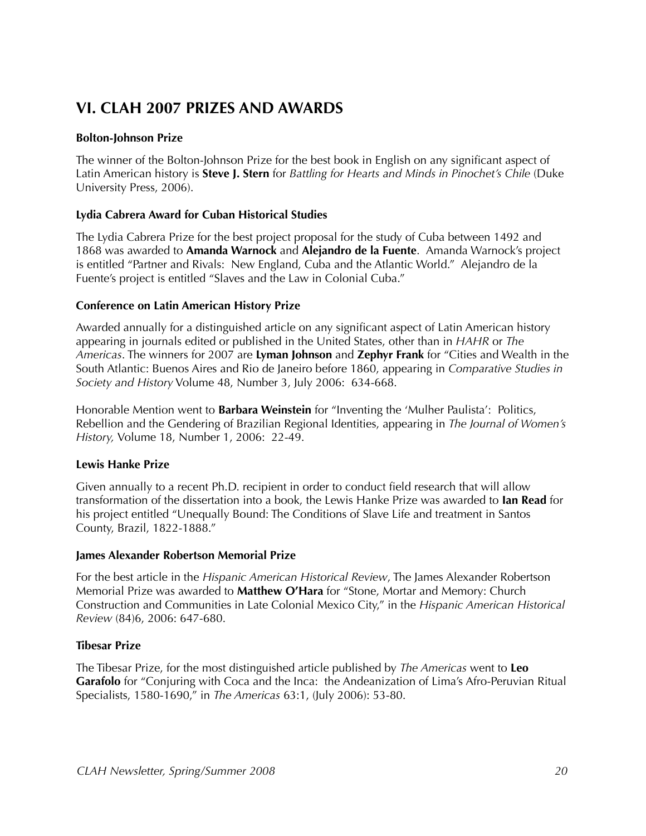# **VI. CLAH 2007 PRIZES AND AWARDS**

#### **Bolton-Johnson Prize**

The winner of the Bolton-Johnson Prize for the best book in English on any significant aspect of Latin American history is **Steve J. Stern** for *Battling for Hearts and Minds in Pinochet's Chile* (Duke University Press, 2006).

#### **Lydia Cabrera Award for Cuban Historical Studies**

The Lydia Cabrera Prize for the best project proposal for the study of Cuba between 1492 and 1868 was awarded to **Amanda Warnock** and **Alejandro de la Fuente**. Amanda Warnock's project is entitled "Partner and Rivals: New England, Cuba and the Atlantic World." Alejandro de la Fuente's project is entitled "Slaves and the Law in Colonial Cuba."

#### **Conference on Latin American History Prize**

Awarded annually for a distinguished article on any significant aspect of Latin American history appearing in journals edited or published in the United States, other than in *HAHR* or *The Americas*. The winners for 2007 are **Lyman Johnson** and **Zephyr Frank** for "Cities and Wealth in the South Atlantic: Buenos Aires and Rio de Janeiro before 1860, appearing in *Comparative Studies in Society and History* Volume 48, Number 3, July 2006: 634-668.

Honorable Mention went to **Barbara Weinstein** for "Inventing the 'Mulher Paulista': Politics, Rebellion and the Gendering of Brazilian Regional Identities, appearing in *The Journal of Women's History,* Volume 18, Number 1, 2006: 22-49.

#### **Lewis Hanke Prize**

Given annually to a recent Ph.D. recipient in order to conduct field research that will allow transformation of the dissertation into a book, the Lewis Hanke Prize was awarded to **Ian Read** for his project entitled "Unequally Bound: The Conditions of Slave Life and treatment in Santos County, Brazil, 1822-1888."

#### **James Alexander Robertson Memorial Prize**

For the best article in the *Hispanic American Historical Review*, The James Alexander Robertson Memorial Prize was awarded to **Matthew O'Hara** for "Stone, Mortar and Memory: Church Construction and Communities in Late Colonial Mexico City," in the *Hispanic American Historical Review* (84)6, 2006: 647-680.

#### **Tibesar Prize**

The Tibesar Prize, for the most distinguished article published by *The Americas* went to **Leo Garafolo** for "Conjuring with Coca and the Inca: the Andeanization of Lima's Afro-Peruvian Ritual Specialists, 1580-1690," in *The Americas* 63:1, (July 2006): 53-80.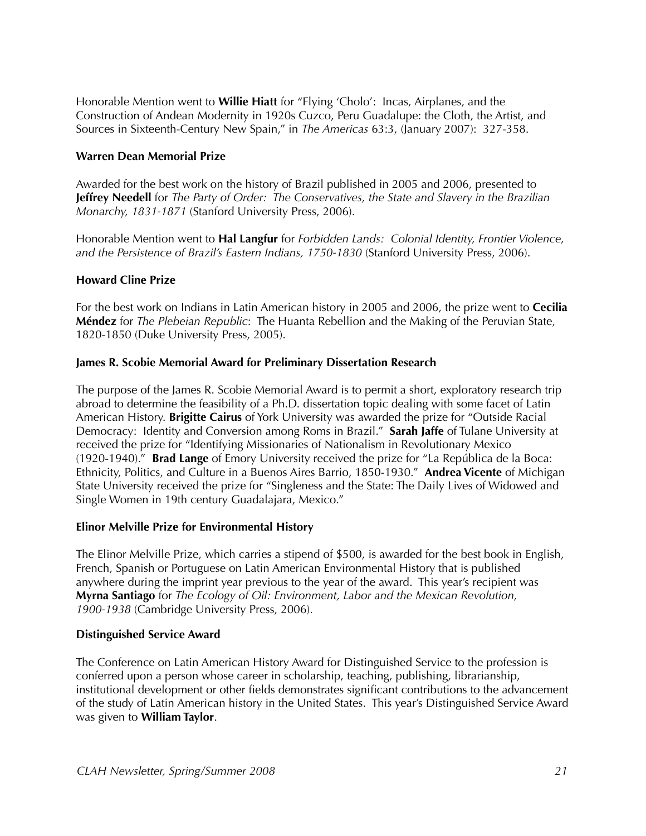Honorable Mention went to **Willie Hiatt** for "Flying 'Cholo': Incas, Airplanes, and the Construction of Andean Modernity in 1920s Cuzco, Peru Guadalupe: the Cloth, the Artist, and Sources in Sixteenth-Century New Spain," in *The Americas* 63:3, (January 2007): 327-358.

#### **Warren Dean Memorial Prize**

Awarded for the best work on the history of Brazil published in 2005 and 2006, presented to **Jeffrey Needell** for *The Party of Order: The Conservatives, the State and Slavery in the Brazilian Monarchy, 1831-1871* (Stanford University Press, 2006).

Honorable Mention went to **Hal Langfur** for *Forbidden Lands: Colonial Identity, Frontier Violence, and the Persistence of Brazil's Eastern Indians, 1750-1830* (Stanford University Press, 2006).

#### **Howard Cline Prize**

For the best work on Indians in Latin American history in 2005 and 2006, the prize went to **Cecilia Méndez** for *The Plebeian Republic*: The Huanta Rebellion and the Making of the Peruvian State, 1820-1850 (Duke University Press, 2005).

#### **James R. Scobie Memorial Award for Preliminary Dissertation Research**

The purpose of the James R. Scobie Memorial Award is to permit a short, exploratory research trip abroad to determine the feasibility of a Ph.D. dissertation topic dealing with some facet of Latin American History. **Brigitte Cairus** of York University was awarded the prize for "Outside Racial Democracy: Identity and Conversion among Roms in Brazil." **Sarah Jaffe** of Tulane University at received the prize for "Identifying Missionaries of Nationalism in Revolutionary Mexico (1920-1940)." **Brad Lange** of Emory University received the prize for "La República de la Boca: Ethnicity, Politics, and Culture in a Buenos Aires Barrio, 1850-1930." **Andrea Vicente** of Michigan State University received the prize for "Singleness and the State: The Daily Lives of Widowed and Single Women in 19th century Guadalajara, Mexico."

#### **Elinor Melville Prize for Environmental History**

The Elinor Melville Prize, which carries a stipend of \$500, is awarded for the best book in English, French, Spanish or Portuguese on Latin American Environmental History that is published anywhere during the imprint year previous to the year of the award. This year's recipient was **Myrna Santiago** for *The Ecology of Oil: Environment, Labor and the Mexican Revolution, 1900-1938* (Cambridge University Press, 2006).

#### **Distinguished Service Award**

The Conference on Latin American History Award for Distinguished Service to the profession is conferred upon a person whose career in scholarship, teaching, publishing, librarianship, institutional development or other fields demonstrates significant contributions to the advancement of the study of Latin American history in the United States. This year's Distinguished Service Award was given to **William Taylor**.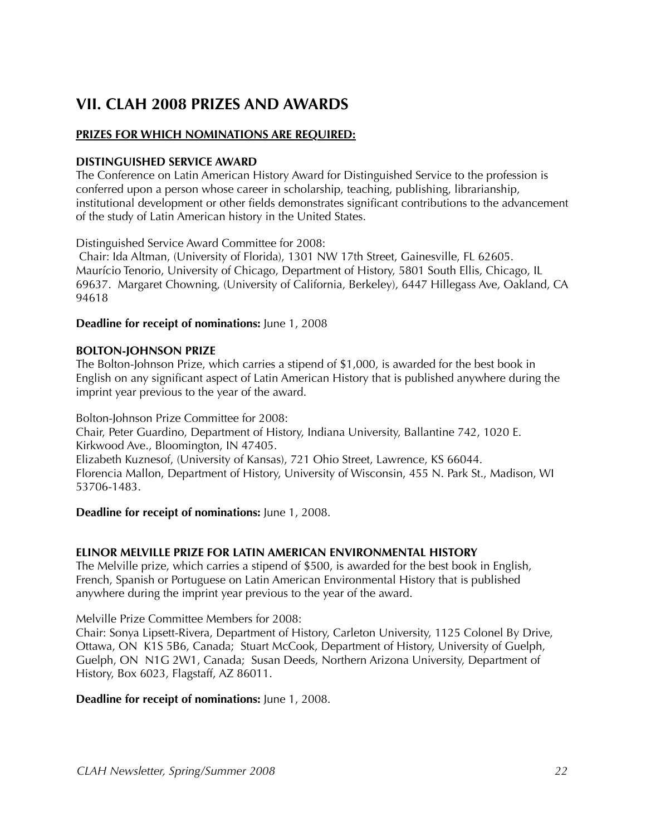# **VII. CLAH 2008 PRIZES AND AWARDS**

#### **PRIZES FOR WHICH NOMINATIONS ARE REQUIRED:**

#### **DISTINGUISHED SERVICE AWARD**

The Conference on Latin American History Award for Distinguished Service to the profession is conferred upon a person whose career in scholarship, teaching, publishing, librarianship, institutional development or other fields demonstrates significant contributions to the advancement of the study of Latin American history in the United States.

Distinguished Service Award Committee for 2008:

 Chair: Ida Altman, (University of Florida), 1301 NW 17th Street, Gainesville, FL 62605. Maurício Tenorio, University of Chicago, Department of History, 5801 South Ellis, Chicago, IL 69637. Margaret Chowning, (University of California, Berkeley), 6447 Hillegass Ave, Oakland, CA 94618

#### **Deadline for receipt of nominations:** June 1, 2008

#### **BOLTON-JOHNSON PRIZE**

The Bolton-Johnson Prize, which carries a stipend of \$1,000, is awarded for the best book in English on any significant aspect of Latin American History that is published anywhere during the imprint year previous to the year of the award.

Bolton-Johnson Prize Committee for 2008: Chair, Peter Guardino, Department of History, Indiana University, Ballantine 742, 1020 E. Kirkwood Ave., Bloomington, IN 47405. Elizabeth Kuznesof, (University of Kansas), 721 Ohio Street, Lawrence, KS 66044. Florencia Mallon, Department of History, University of Wisconsin, 455 N. Park St., Madison, WI 53706-1483.

#### **Deadline for receipt of nominations:** June 1, 2008.

#### **ELINOR MELVILLE PRIZE FOR LATIN AMERICAN ENVIRONMENTAL HISTORY**

The Melville prize, which carries a stipend of \$500, is awarded for the best book in English, French, Spanish or Portuguese on Latin American Environmental History that is published anywhere during the imprint year previous to the year of the award.

Melville Prize Committee Members for 2008:

Chair: Sonya Lipsett-Rivera, Department of History, Carleton University, 1125 Colonel By Drive, Ottawa, ON K1S 5B6, Canada; Stuart McCook, Department of History, University of Guelph, Guelph, ON N1G 2W1, Canada; Susan Deeds, Northern Arizona University, Department of History, Box 6023, Flagstaff, AZ 86011.

#### **Deadline for receipt of nominations:** June 1, 2008.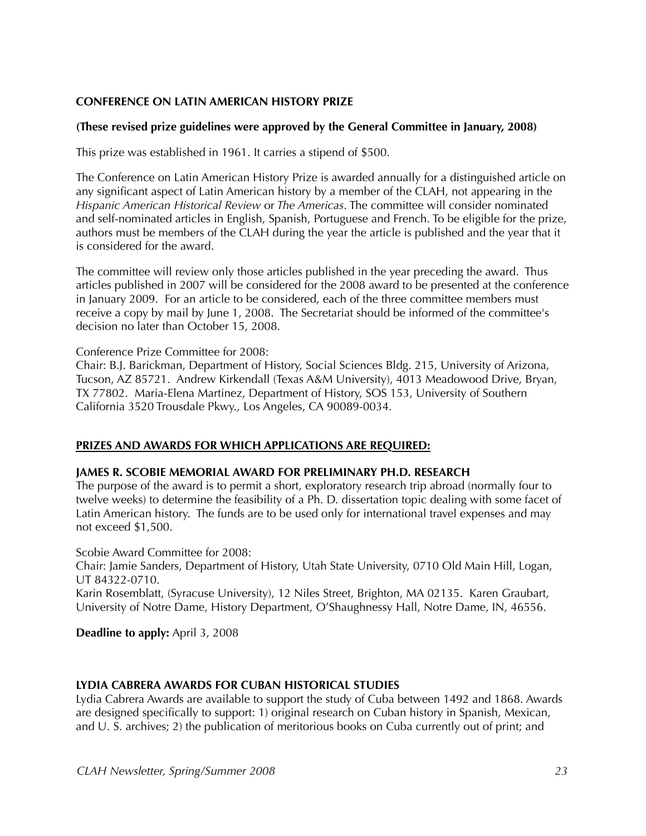#### **CONFERENCE ON LATIN AMERICAN HISTORY PRIZE**

#### **(These revised prize guidelines were approved by the General Committee in January, 2008)**

This prize was established in 1961. It carries a stipend of \$500.

The Conference on Latin American History Prize is awarded annually for a distinguished article on any significant aspect of Latin American history by a member of the CLAH, not appearing in the *Hispanic American Historical Review* or *The Americas*. The committee will consider nominated and self-nominated articles in English, Spanish, Portuguese and French. To be eligible for the prize, authors must be members of the CLAH during the year the article is published and the year that it is considered for the award.

The committee will review only those articles published in the year preceding the award. Thus articles published in 2007 will be considered for the 2008 award to be presented at the conference in January 2009. For an article to be considered, each of the three committee members must receive a copy by mail by June 1, 2008. The Secretariat should be informed of the committee's decision no later than October 15, 2008.

#### Conference Prize Committee for 2008:

Chair: B.J. Barickman, Department of History, Social Sciences Bldg. 215, University of Arizona, Tucson, AZ 85721. Andrew Kirkendall (Texas A&M University), 4013 Meadowood Drive, Bryan, TX 77802. Maria-Elena Martinez, Department of History, SOS 153, University of Southern California 3520 Trousdale Pkwy., Los Angeles, CA 90089-0034.

#### **PRIZES AND AWARDS FOR WHICH APPLICATIONS ARE REQUIRED:**

#### **JAMES R. SCOBIE MEMORIAL AWARD FOR PRELIMINARY PH.D. RESEARCH**

The purpose of the award is to permit a short, exploratory research trip abroad (normally four to twelve weeks) to determine the feasibility of a Ph. D. dissertation topic dealing with some facet of Latin American history. The funds are to be used only for international travel expenses and may not exceed \$1,500.

Scobie Award Committee for 2008:

Chair: Jamie Sanders, Department of History, Utah State University, 0710 Old Main Hill, Logan, UT 84322-0710.

Karin Rosemblatt, (Syracuse University), 12 Niles Street, Brighton, MA 02135. Karen Graubart, University of Notre Dame, History Department, O'Shaughnessy Hall, Notre Dame, IN, 46556.

**Deadline to apply:** April 3, 2008

#### **LYDIA CABRERA AWARDS FOR CUBAN HISTORICAL STUDIES**

Lydia Cabrera Awards are available to support the study of Cuba between 1492 and 1868. Awards are designed specifically to support: 1) original research on Cuban history in Spanish, Mexican, and U. S. archives; 2) the publication of meritorious books on Cuba currently out of print; and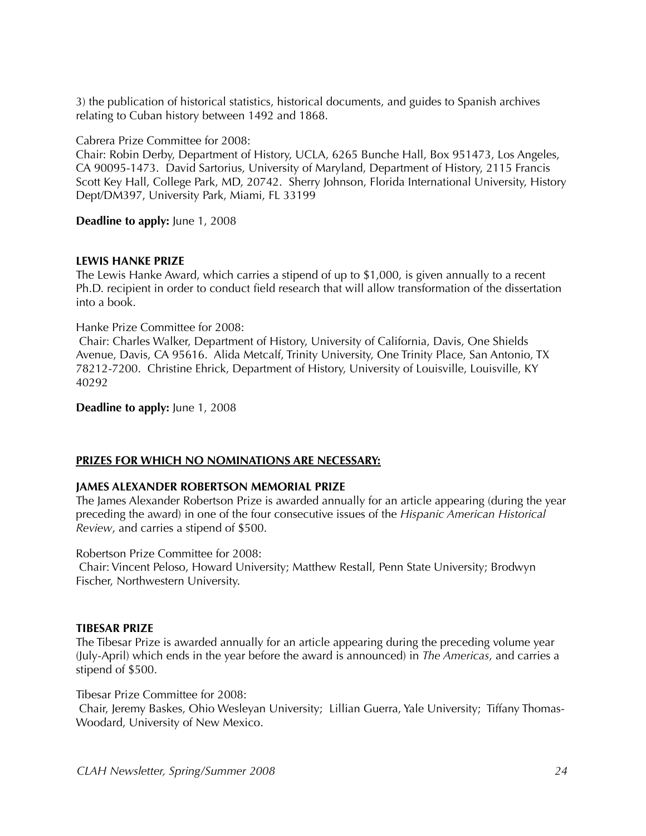3) the publication of historical statistics, historical documents, and guides to Spanish archives relating to Cuban history between 1492 and 1868.

Cabrera Prize Committee for 2008:

Chair: Robin Derby, Department of History, UCLA, 6265 Bunche Hall, Box 951473, Los Angeles, CA 90095-1473. David Sartorius, University of Maryland, Department of History, 2115 Francis Scott Key Hall, College Park, MD, 20742. Sherry Johnson, Florida International University, History Dept/DM397, University Park, Miami, FL 33199

**Deadline to apply:** June 1, 2008

#### **LEWIS HANKE PRIZE**

The Lewis Hanke Award, which carries a stipend of up to \$1,000, is given annually to a recent Ph.D. recipient in order to conduct field research that will allow transformation of the dissertation into a book.

Hanke Prize Committee for 2008:

 Chair: Charles Walker, Department of History, University of California, Davis, One Shields Avenue, Davis, CA 95616. Alida Metcalf, Trinity University, One Trinity Place, San Antonio, TX 78212-7200. Christine Ehrick, Department of History, University of Louisville, Louisville, KY 40292

**Deadline to apply:** June 1, 2008

#### **PRIZES FOR WHICH NO NOMINATIONS ARE NECESSARY:**

#### **JAMES ALEXANDER ROBERTSON MEMORIAL PRIZE**

The James Alexander Robertson Prize is awarded annually for an article appearing (during the year preceding the award) in one of the four consecutive issues of the *Hispanic American Historical Review*, and carries a stipend of \$500.

Robertson Prize Committee for 2008:

 Chair: Vincent Peloso, Howard University; Matthew Restall, Penn State University; Brodwyn Fischer, Northwestern University.

#### **TIBESAR PRIZE**

The Tibesar Prize is awarded annually for an article appearing during the preceding volume year (July-April) which ends in the year before the award is announced) in *The Americas*, and carries a stipend of \$500.

Tibesar Prize Committee for 2008:

 Chair, Jeremy Baskes, Ohio Wesleyan University; Lillian Guerra, Yale University; Tiffany Thomas-Woodard, University of New Mexico.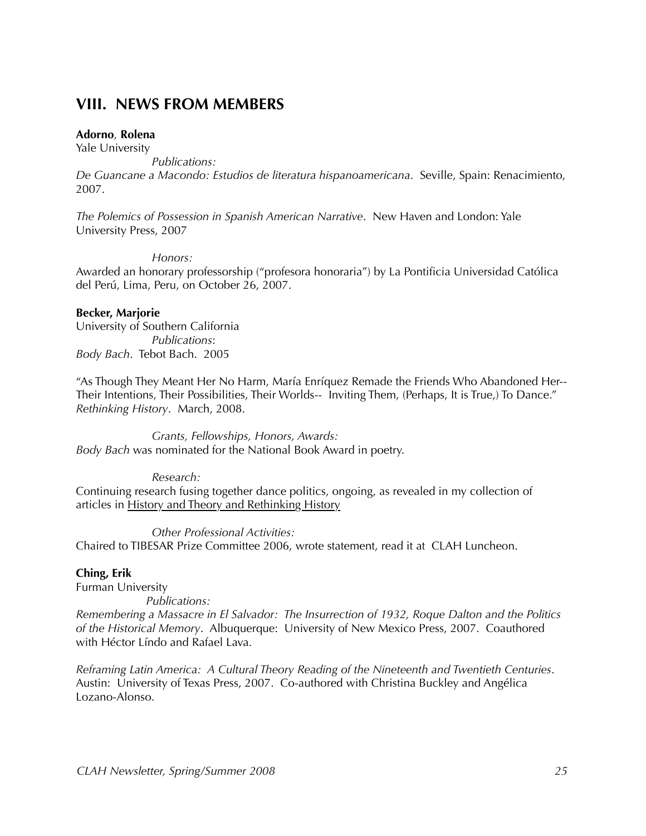### **VIII. NEWS FROM MEMBERS**

#### **Adorno**, **Rolena**

Yale University

*Publications:*

*De Guancane a Macondo: Estudios de literatura hispanoamericana*. Seville, Spain: Renacimiento, 2007.

*The Polemics of Possession in Spanish American Narrative*. New Haven and London: Yale University Press, 2007

*Honors:*

Awarded an honorary professorship ("profesora honoraria") by La Pontificia Universidad Católica del Perú, Lima, Peru, on October 26, 2007.

#### **Becker, Marjorie**

University of Southern California *Publications*: *Body Bach*. Tebot Bach. 2005

"As Though They Meant Her No Harm, María Enríquez Remade the Friends Who Abandoned Her-- Their Intentions, Their Possibilities, Their Worlds-- Inviting Them, (Perhaps, It is True,) To Dance." *Rethinking History*. March, 2008.

*Grants, Fellowships, Honors, Awards: Body Bach* was nominated for the National Book Award in poetry.

*Research:*

Continuing research fusing together dance politics, ongoing, as revealed in my collection of articles in **History and Theory and Rethinking History** 

*Other Professional Activities:* Chaired to TIBESAR Prize Committee 2006, wrote statement, read it at CLAH Luncheon.

#### **Ching, Erik**

Furman University

 *Publications:*

*Remembering a Massacre in El Salvador: The Insurrection of 1932, Roque Dalton and the Politics of the Historical Memory*. Albuquerque: University of New Mexico Press, 2007. Coauthored with Héctor Líndo and Rafael Lava.

*Reframing Latin America: A Cultural Theory Reading of the Nineteenth and Twentieth Centuries*. Austin: University of Texas Press, 2007. Co-authored with Christina Buckley and Angélica Lozano-Alonso.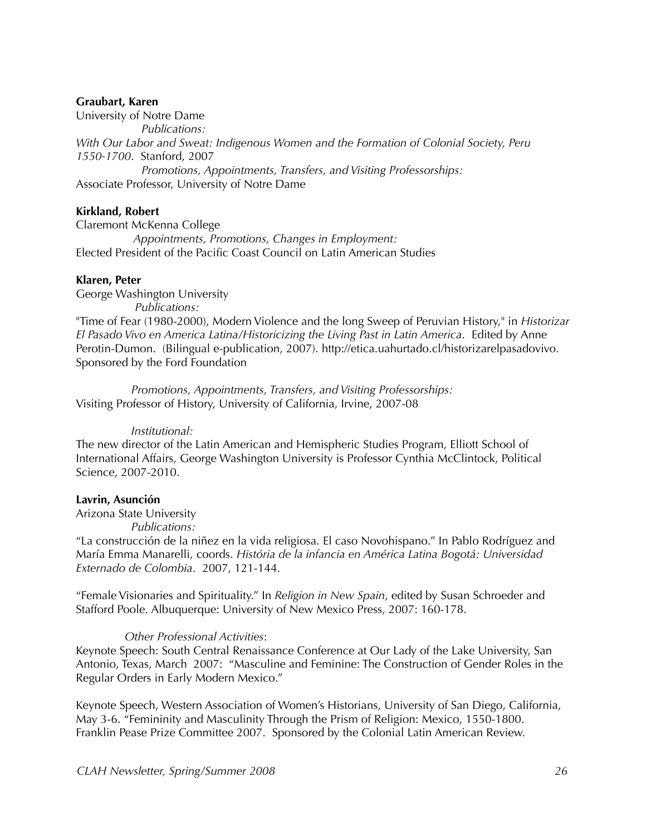#### **Graubart, Karen**

University of Notre Dame *Publications: With Our Labor and Sweat: Indigenous Women and the Formation of Colonial Society, Peru 1550-1700*. Stanford, 2007 *Promotions, Appointments, Transfers, and Visiting Professorships:* Associate Professor, University of Notre Dame

#### **Kirkland, Robert**

Claremont McKenna College *Appointments, Promotions, Changes in Employment:* Elected President of the Pacific Coast Council on Latin American Studies

#### **Klaren, Peter**

George Washington University *Publications:* "Time of Fear (1980-2000), Modern Violence and the long Sweep of Peruvian History," in *Historizar El Pasado Vivo en America Latina/Historicizing the Living Past in Latin America*. Edited by Anne Perotin-Dumon. (Bilingual e-publication, 2007). http://etica.uahurtado.cl/historizarelpasadovivo. Sponsored by the Ford Foundation

 *Promotions, Appointments, Transfers, and Visiting Professorships:* Visiting Professor of History, University of California, Irvine, 2007-08

#### *Institutional:*

The new director of the Latin American and Hemispheric Studies Program, Elliott School of International Affairs, George Washington University is Professor Cynthia McClintock, Political Science, 2007-2010.

#### **Lavrin, Asunción**

Arizona State University

*Publications:*

"La construcción de la niñez en la vida religiosa. El caso Novohispano." In Pablo Rodríguez and María Emma Manarelli, coords. *História de la infancia en América Latina Bogotá: Universidad Externado de Colombia*. 2007, 121-144.

"Female Visionaries and Spirituality." In *Religion in New Spain*, edited by Susan Schroeder and Stafford Poole. Albuquerque: University of New Mexico Press, 2007: 160-178.

#### *Other Professional Activities*:

Keynote Speech: South Central Renaissance Conference at Our Lady of the Lake University, San Antonio, Texas, March 2007: "Masculine and Feminine: The Construction of Gender Roles in the Regular Orders in Early Modern Mexico."

Keynote Speech, Western Association of Women's Historians, University of San Diego, California, May 3-6. "Femininity and Masculinity Through the Prism of Religion: Mexico, 1550-1800. Franklin Pease Prize Committee 2007. Sponsored by the Colonial Latin American Review.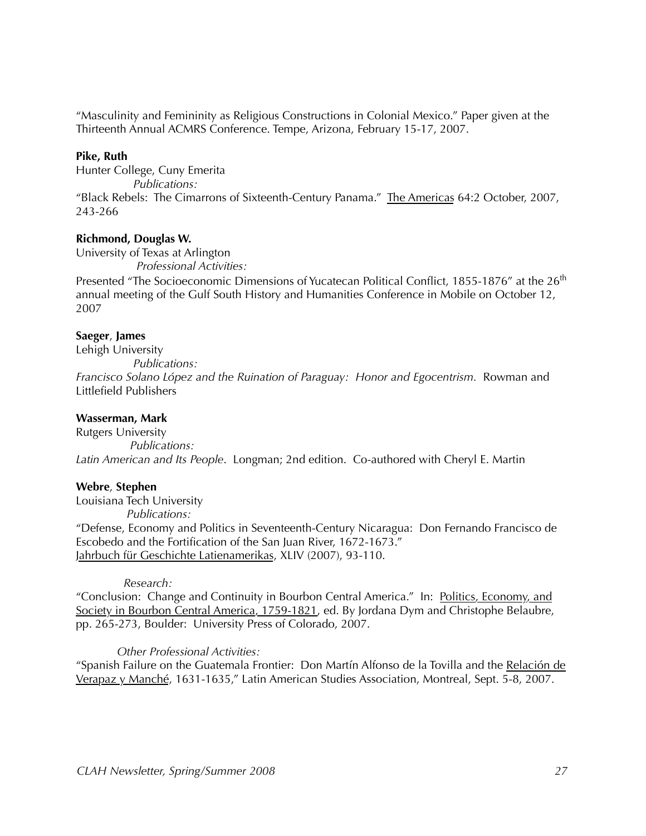"Masculinity and Femininity as Religious Constructions in Colonial Mexico." Paper given at the Thirteenth Annual ACMRS Conference. Tempe, Arizona, February 15-17, 2007.

#### **Pike, Ruth**

Hunter College, Cuny Emerita *Publications:* "Black Rebels: The Cimarrons of Sixteenth-Century Panama." The Americas 64:2 October, 2007, 243-266

#### **Richmond, Douglas W.**

University of Texas at Arlington *Professional Activities:*

Presented "The Socioeconomic Dimensions of Yucatecan Political Conflict, 1855-1876" at the 26<sup>th</sup> annual meeting of the Gulf South History and Humanities Conference in Mobile on October 12, 2007

#### **Saeger**, **James**

Lehigh University

 *Publications: Francisco Solano López and the Ruination of Paraguay: Honor and Egocentrism.* Rowman and Littlefield Publishers

#### **Wasserman, Mark**

Rutgers University  *Publications: Latin American and Its People*. Longman; 2nd edition. Co-authored with Cheryl E. Martin

#### **Webre**, **Stephen**

Louisiana Tech University

 *Publications:*

"Defense, Economy and Politics in Seventeenth-Century Nicaragua: Don Fernando Francisco de Escobedo and the Fortification of the San Juan River, 1672-1673." Jahrbuch für Geschichte Latienamerikas, XLIV (2007), 93-110.

#### *Research:*

"Conclusion: Change and Continuity in Bourbon Central America." In: Politics, Economy, and Society in Bourbon Central America, 1759-1821, ed. By Jordana Dym and Christophe Belaubre, pp. 265-273, Boulder: University Press of Colorado, 2007.

#### *Other Professional Activities:*

"Spanish Failure on the Guatemala Frontier: Don Martín Alfonso de la Tovilla and the Relación de Verapaz y Manché, 1631-1635," Latin American Studies Association, Montreal, Sept. 5-8, 2007.